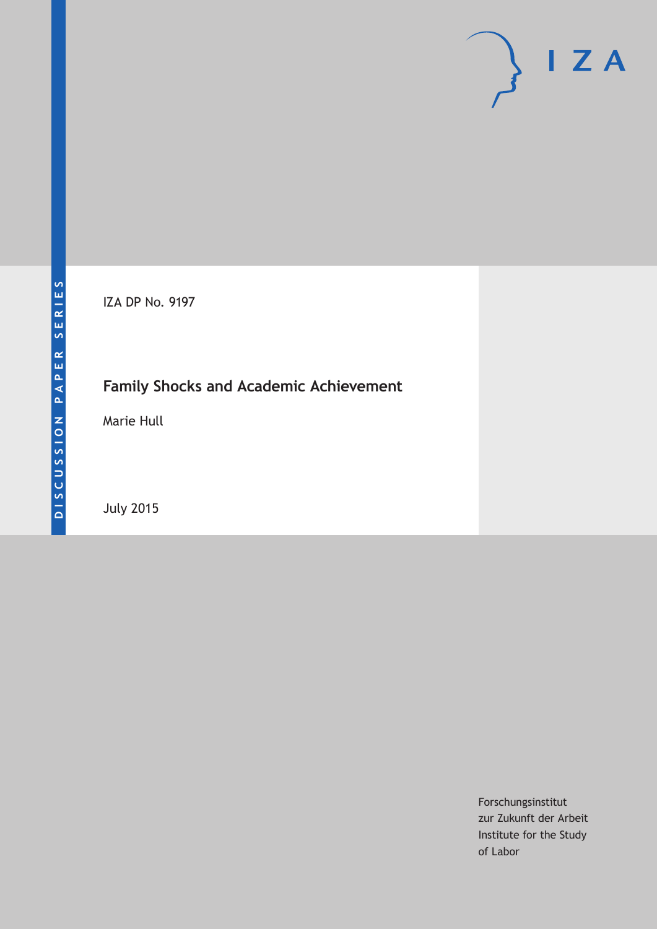# $\mathsf{I}$  Z A

IZA DP No. 9197

# **Family Shocks and Academic Achievement**

Marie Hull

July 2015

Forschungsinstitut zur Zukunft der Arbeit Institute for the Study of Labor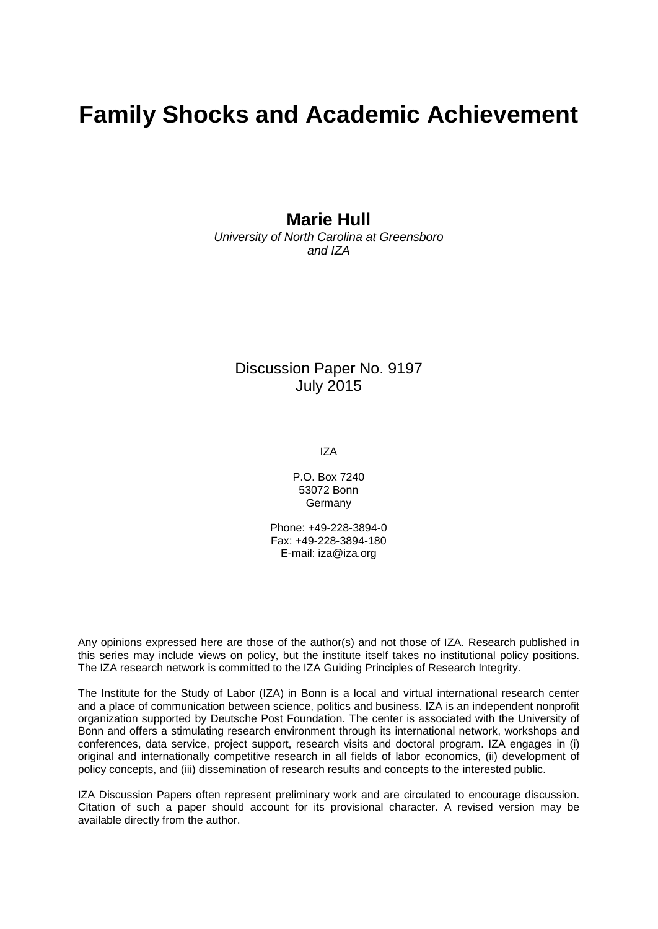# **Family Shocks and Academic Achievement**

## **Marie Hull**

*University of North Carolina at Greensboro and IZA*

#### Discussion Paper No. 9197 July 2015

IZA

P.O. Box 7240 53072 Bonn Germany

Phone: +49-228-3894-0 Fax: +49-228-3894-180 E-mail: iza@iza.org

Any opinions expressed here are those of the author(s) and not those of IZA. Research published in this series may include views on policy, but the institute itself takes no institutional policy positions. The IZA research network is committed to the IZA Guiding Principles of Research Integrity.

The Institute for the Study of Labor (IZA) in Bonn is a local and virtual international research center and a place of communication between science, politics and business. IZA is an independent nonprofit organization supported by Deutsche Post Foundation. The center is associated with the University of Bonn and offers a stimulating research environment through its international network, workshops and conferences, data service, project support, research visits and doctoral program. IZA engages in (i) original and internationally competitive research in all fields of labor economics, (ii) development of policy concepts, and (iii) dissemination of research results and concepts to the interested public.

IZA Discussion Papers often represent preliminary work and are circulated to encourage discussion. Citation of such a paper should account for its provisional character. A revised version may be available directly from the author.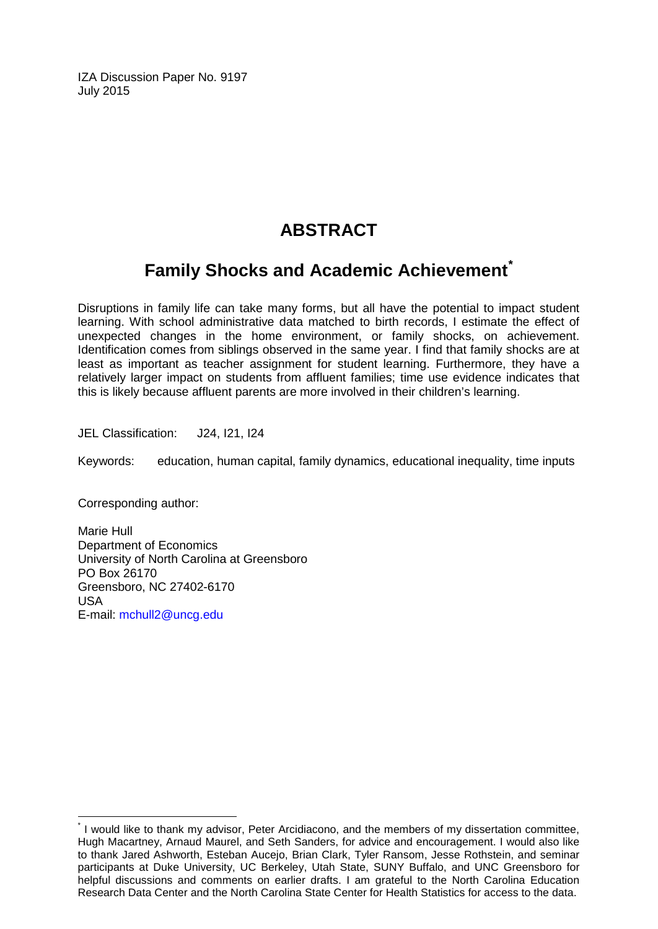IZA Discussion Paper No. 9197 July 2015

# **ABSTRACT**

## **Family Shocks and Academic Achievement[\\*](#page-2-0)**

Disruptions in family life can take many forms, but all have the potential to impact student learning. With school administrative data matched to birth records, I estimate the effect of unexpected changes in the home environment, or family shocks, on achievement. Identification comes from siblings observed in the same year. I find that family shocks are at least as important as teacher assignment for student learning. Furthermore, they have a relatively larger impact on students from affluent families; time use evidence indicates that this is likely because affluent parents are more involved in their children's learning.

JEL Classification: J24, I21, I24

Keywords: education, human capital, family dynamics, educational inequality, time inputs

Corresponding author:

Marie Hull Department of Economics University of North Carolina at Greensboro PO Box 26170 Greensboro, NC 27402-6170 USA E-mail: [mchull2@uncg.edu](mailto:mchull2@uncg.edu)

<span id="page-2-0"></span>\* I would like to thank my advisor, Peter Arcidiacono, and the members of my dissertation committee, Hugh Macartney, Arnaud Maurel, and Seth Sanders, for advice and encouragement. I would also like to thank Jared Ashworth, Esteban Aucejo, Brian Clark, Tyler Ransom, Jesse Rothstein, and seminar participants at Duke University, UC Berkeley, Utah State, SUNY Buffalo, and UNC Greensboro for helpful discussions and comments on earlier drafts. I am grateful to the North Carolina Education Research Data Center and the North Carolina State Center for Health Statistics for access to the data.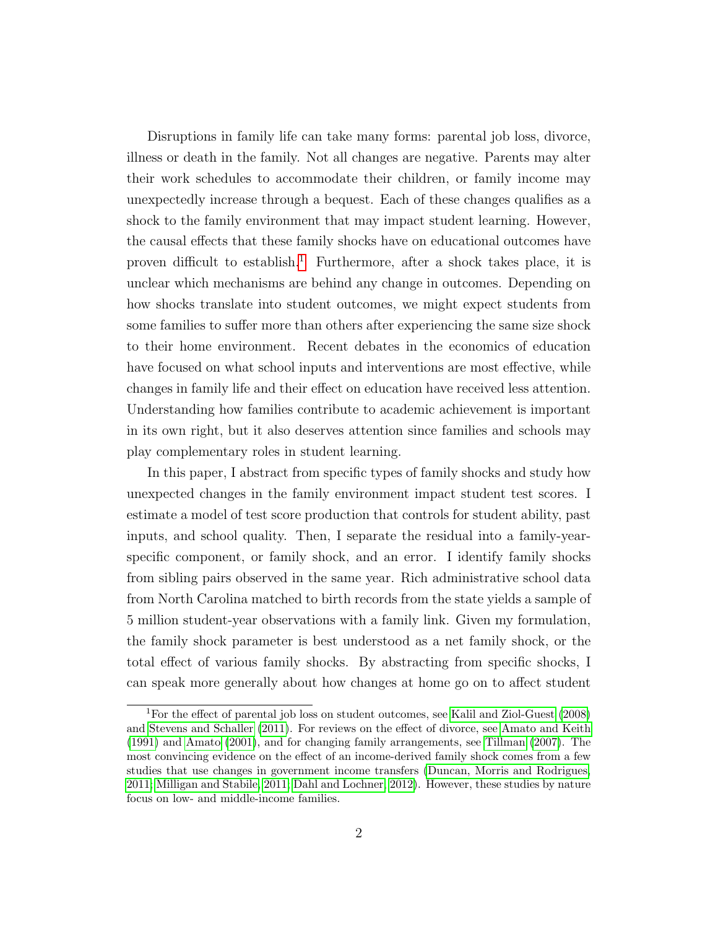Disruptions in family life can take many forms: parental job loss, divorce, illness or death in the family. Not all changes are negative. Parents may alter their work schedules to accommodate their children, or family income may unexpectedly increase through a bequest. Each of these changes qualifies as a shock to the family environment that may impact student learning. However, the causal effects that these family shocks have on educational outcomes have proven difficult to establish.<sup>[1](#page-3-0)</sup> Furthermore, after a shock takes place, it is unclear which mechanisms are behind any change in outcomes. Depending on how shocks translate into student outcomes, we might expect students from some families to suffer more than others after experiencing the same size shock to their home environment. Recent debates in the economics of education have focused on what school inputs and interventions are most effective, while changes in family life and their effect on education have received less attention. Understanding how families contribute to academic achievement is important in its own right, but it also deserves attention since families and schools may play complementary roles in student learning.

In this paper, I abstract from specific types of family shocks and study how unexpected changes in the family environment impact student test scores. I estimate a model of test score production that controls for student ability, past inputs, and school quality. Then, I separate the residual into a family-yearspecific component, or family shock, and an error. I identify family shocks from sibling pairs observed in the same year. Rich administrative school data from North Carolina matched to birth records from the state yields a sample of 5 million student-year observations with a family link. Given my formulation, the family shock parameter is best understood as a net family shock, or the total effect of various family shocks. By abstracting from specific shocks, I can speak more generally about how changes at home go on to affect student

<span id="page-3-0"></span><sup>1</sup>For the effect of parental job loss on student outcomes, see [Kalil and Ziol-Guest](#page-30-0) [\(2008\)](#page-30-0) and [Stevens and Schaller](#page-31-0) [\(2011\)](#page-31-0). For reviews on the effect of divorce, see [Amato and Keith](#page-28-0) [\(1991\)](#page-28-0) and [Amato](#page-28-1) [\(2001\)](#page-28-1), and for changing family arrangements, see [Tillman](#page-31-1) [\(2007\)](#page-31-1). The most convincing evidence on the effect of an income-derived family shock comes from a few studies that use changes in government income transfers [\(Duncan, Morris and Rodrigues,](#page-29-0) [2011;](#page-29-0) [Milligan and Stabile, 2011;](#page-30-1) [Dahl and Lochner, 2012\)](#page-29-1). However, these studies by nature focus on low- and middle-income families.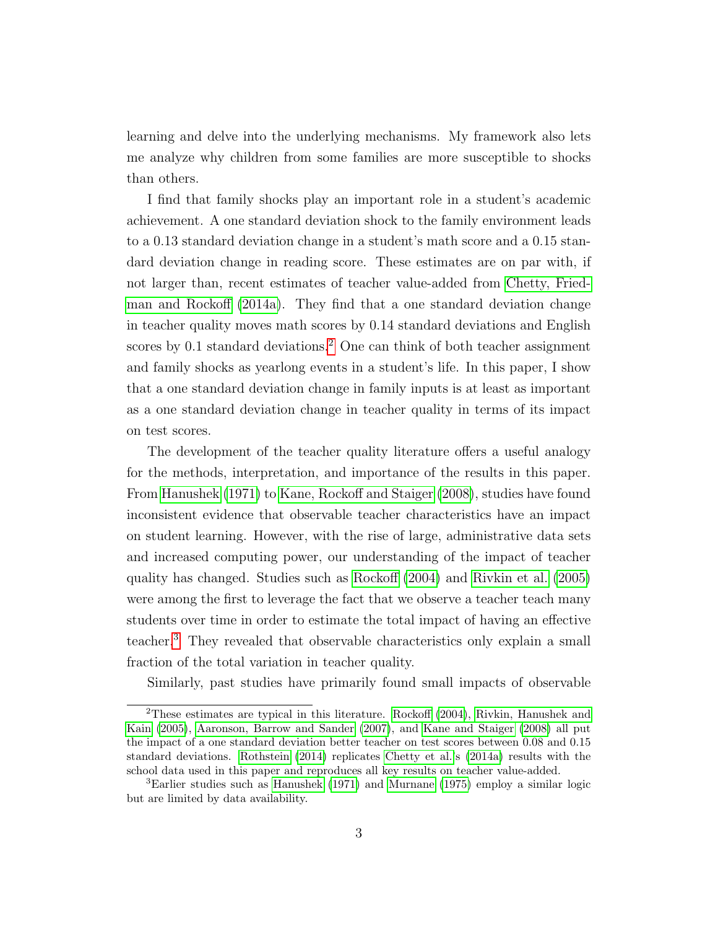learning and delve into the underlying mechanisms. My framework also lets me analyze why children from some families are more susceptible to shocks than others.

I find that family shocks play an important role in a student's academic achievement. A one standard deviation shock to the family environment leads to a 0.13 standard deviation change in a student's math score and a 0.15 standard deviation change in reading score. These estimates are on par with, if not larger than, recent estimates of teacher value-added from [Chetty, Fried](#page-28-2)[man and Rockoff](#page-28-2) [\(2014a\)](#page-28-2). They find that a one standard deviation change in teacher quality moves math scores by 0.14 standard deviations and English scores by  $0.1$  standard deviations.<sup>[2](#page-4-0)</sup> One can think of both teacher assignment and family shocks as yearlong events in a student's life. In this paper, I show that a one standard deviation change in family inputs is at least as important as a one standard deviation change in teacher quality in terms of its impact on test scores.

The development of the teacher quality literature offers a useful analogy for the methods, interpretation, and importance of the results in this paper. From [Hanushek](#page-29-2) [\(1971\)](#page-29-2) to [Kane, Rockoff and Staiger](#page-30-2) [\(2008\)](#page-30-2), studies have found inconsistent evidence that observable teacher characteristics have an impact on student learning. However, with the rise of large, administrative data sets and increased computing power, our understanding of the impact of teacher quality has changed. Studies such as [Rockoff](#page-30-3) [\(2004\)](#page-30-3) and [Rivkin et al.](#page-30-4) [\(2005\)](#page-30-4) were among the first to leverage the fact that we observe a teacher teach many students over time in order to estimate the total impact of having an effective teacher.[3](#page-4-1) They revealed that observable characteristics only explain a small fraction of the total variation in teacher quality.

Similarly, past studies have primarily found small impacts of observable

<span id="page-4-0"></span><sup>2</sup>These estimates are typical in this literature. [Rockoff](#page-30-3) [\(2004\)](#page-30-3), [Rivkin, Hanushek and](#page-30-4) [Kain](#page-30-4) [\(2005\)](#page-30-4), [Aaronson, Barrow and Sander](#page-28-3) [\(2007\)](#page-28-3), and [Kane and Staiger](#page-30-5) [\(2008\)](#page-30-5) all put the impact of a one standard deviation better teacher on test scores between 0.08 and 0.15 standard deviations. [Rothstein](#page-31-2) [\(2014\)](#page-31-2) replicates [Chetty et al.'](#page-28-2)s [\(2014a\)](#page-28-2) results with the school data used in this paper and reproduces all key results on teacher value-added.

<span id="page-4-1"></span><sup>3</sup>Earlier studies such as [Hanushek](#page-29-2) [\(1971\)](#page-29-2) and [Murnane](#page-30-6) [\(1975\)](#page-30-6) employ a similar logic but are limited by data availability.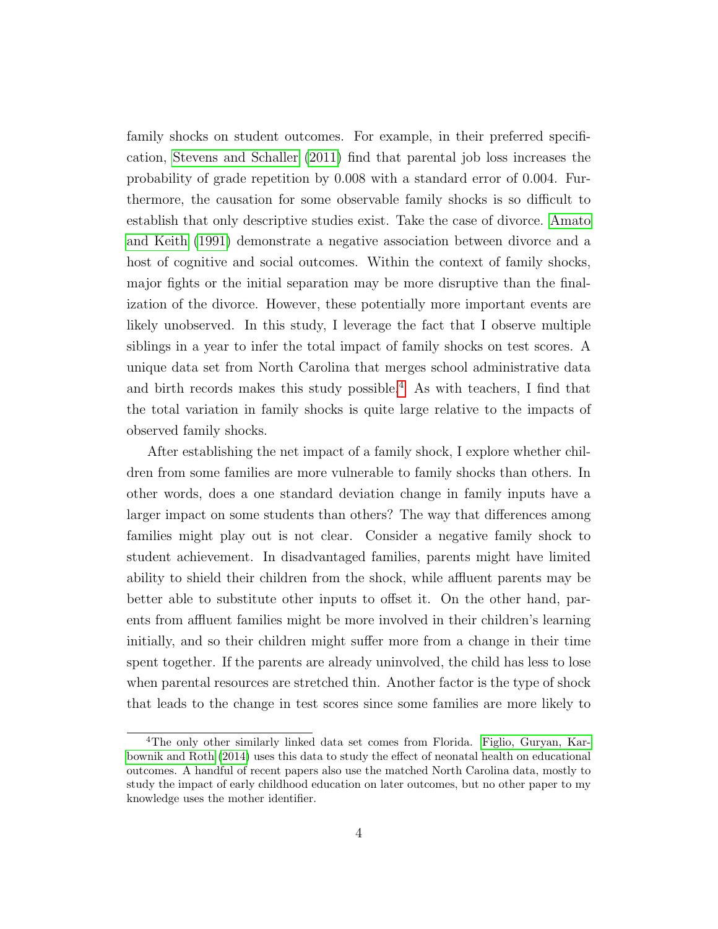family shocks on student outcomes. For example, in their preferred specification, [Stevens and Schaller](#page-31-0) [\(2011\)](#page-31-0) find that parental job loss increases the probability of grade repetition by 0.008 with a standard error of 0.004. Furthermore, the causation for some observable family shocks is so difficult to establish that only descriptive studies exist. Take the case of divorce. [Amato](#page-28-0) [and Keith](#page-28-0) [\(1991\)](#page-28-0) demonstrate a negative association between divorce and a host of cognitive and social outcomes. Within the context of family shocks, major fights or the initial separation may be more disruptive than the finalization of the divorce. However, these potentially more important events are likely unobserved. In this study, I leverage the fact that I observe multiple siblings in a year to infer the total impact of family shocks on test scores. A unique data set from North Carolina that merges school administrative data and birth records makes this study possible.<sup>[4](#page-5-0)</sup> As with teachers, I find that the total variation in family shocks is quite large relative to the impacts of observed family shocks.

After establishing the net impact of a family shock, I explore whether children from some families are more vulnerable to family shocks than others. In other words, does a one standard deviation change in family inputs have a larger impact on some students than others? The way that differences among families might play out is not clear. Consider a negative family shock to student achievement. In disadvantaged families, parents might have limited ability to shield their children from the shock, while affluent parents may be better able to substitute other inputs to offset it. On the other hand, parents from affluent families might be more involved in their children's learning initially, and so their children might suffer more from a change in their time spent together. If the parents are already uninvolved, the child has less to lose when parental resources are stretched thin. Another factor is the type of shock that leads to the change in test scores since some families are more likely to

<span id="page-5-0"></span><sup>4</sup>The only other similarly linked data set comes from Florida. [Figlio, Guryan, Kar](#page-29-3)[bownik and Roth](#page-29-3) [\(2014\)](#page-29-3) uses this data to study the effect of neonatal health on educational outcomes. A handful of recent papers also use the matched North Carolina data, mostly to study the impact of early childhood education on later outcomes, but no other paper to my knowledge uses the mother identifier.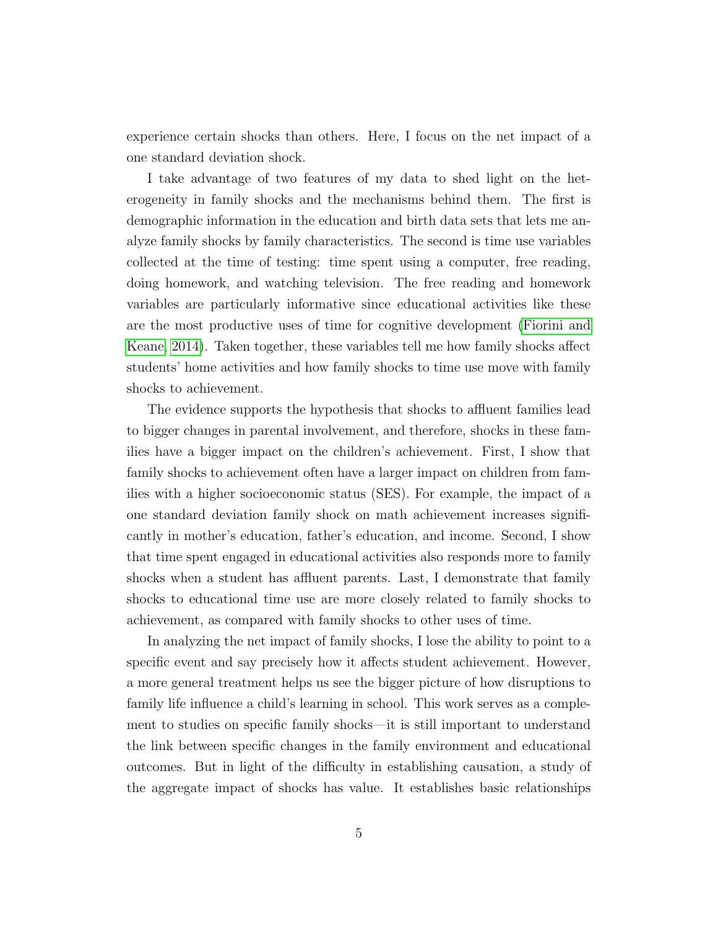experience certain shocks than others. Here, I focus on the net impact of a one standard deviation shock.

I take advantage of two features of my data to shed light on the heterogeneity in family shocks and the mechanisms behind them. The first is demographic information in the education and birth data sets that lets me analyze family shocks by family characteristics. The second is time use variables collected at the time of testing: time spent using a computer, free reading, doing homework, and watching television. The free reading and homework variables are particularly informative since educational activities like these are the most productive uses of time for cognitive development [\(Fiorini and](#page-29-4) [Keane, 2014\)](#page-29-4). Taken together, these variables tell me how family shocks affect students' home activities and how family shocks to time use move with family shocks to achievement.

The evidence supports the hypothesis that shocks to affluent families lead to bigger changes in parental involvement, and therefore, shocks in these families have a bigger impact on the children's achievement. First, I show that family shocks to achievement often have a larger impact on children from families with a higher socioeconomic status (SES). For example, the impact of a one standard deviation family shock on math achievement increases significantly in mother's education, father's education, and income. Second, I show that time spent engaged in educational activities also responds more to family shocks when a student has affluent parents. Last, I demonstrate that family shocks to educational time use are more closely related to family shocks to achievement, as compared with family shocks to other uses of time.

In analyzing the net impact of family shocks, I lose the ability to point to a specific event and say precisely how it affects student achievement. However, a more general treatment helps us see the bigger picture of how disruptions to family life influence a child's learning in school. This work serves as a complement to studies on specific family shocks—it is still important to understand the link between specific changes in the family environment and educational outcomes. But in light of the difficulty in establishing causation, a study of the aggregate impact of shocks has value. It establishes basic relationships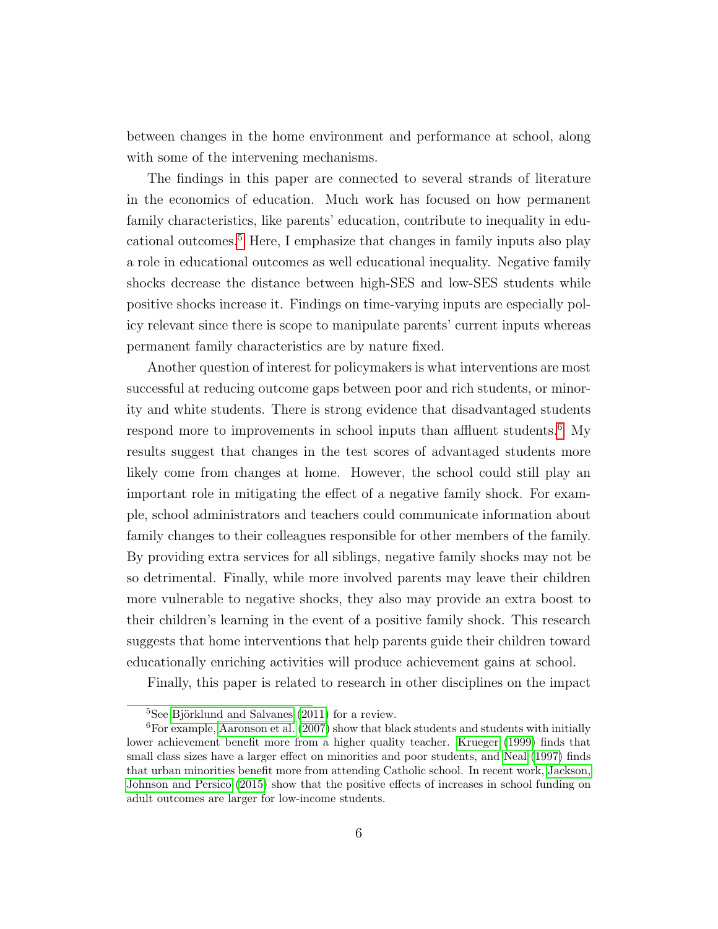between changes in the home environment and performance at school, along with some of the intervening mechanisms.

The findings in this paper are connected to several strands of literature in the economics of education. Much work has focused on how permanent family characteristics, like parents' education, contribute to inequality in educational outcomes.[5](#page-7-0) Here, I emphasize that changes in family inputs also play a role in educational outcomes as well educational inequality. Negative family shocks decrease the distance between high-SES and low-SES students while positive shocks increase it. Findings on time-varying inputs are especially policy relevant since there is scope to manipulate parents' current inputs whereas permanent family characteristics are by nature fixed.

Another question of interest for policymakers is what interventions are most successful at reducing outcome gaps between poor and rich students, or minority and white students. There is strong evidence that disadvantaged students respond more to improvements in school inputs than affluent students.<sup>[6](#page-7-1)</sup> My results suggest that changes in the test scores of advantaged students more likely come from changes at home. However, the school could still play an important role in mitigating the effect of a negative family shock. For example, school administrators and teachers could communicate information about family changes to their colleagues responsible for other members of the family. By providing extra services for all siblings, negative family shocks may not be so detrimental. Finally, while more involved parents may leave their children more vulnerable to negative shocks, they also may provide an extra boost to their children's learning in the event of a positive family shock. This research suggests that home interventions that help parents guide their children toward educationally enriching activities will produce achievement gains at school.

Finally, this paper is related to research in other disciplines on the impact

<span id="page-7-1"></span><span id="page-7-0"></span> ${}^{5}$ See Björklund and Salvanes [\(2011\)](#page-28-4) for a review.

 ${}^{6}$  For example, [Aaronson et al.](#page-28-3) [\(2007\)](#page-28-3) show that black students and students with initially lower achievement benefit more from a higher quality teacher. [Krueger](#page-30-7) [\(1999\)](#page-30-7) finds that small class sizes have a larger effect on minorities and poor students, and [Neal](#page-30-8) [\(1997\)](#page-30-8) finds that urban minorities benefit more from attending Catholic school. In recent work, [Jackson,](#page-29-5) [Johnson and Persico](#page-29-5) [\(2015\)](#page-29-5) show that the positive effects of increases in school funding on adult outcomes are larger for low-income students.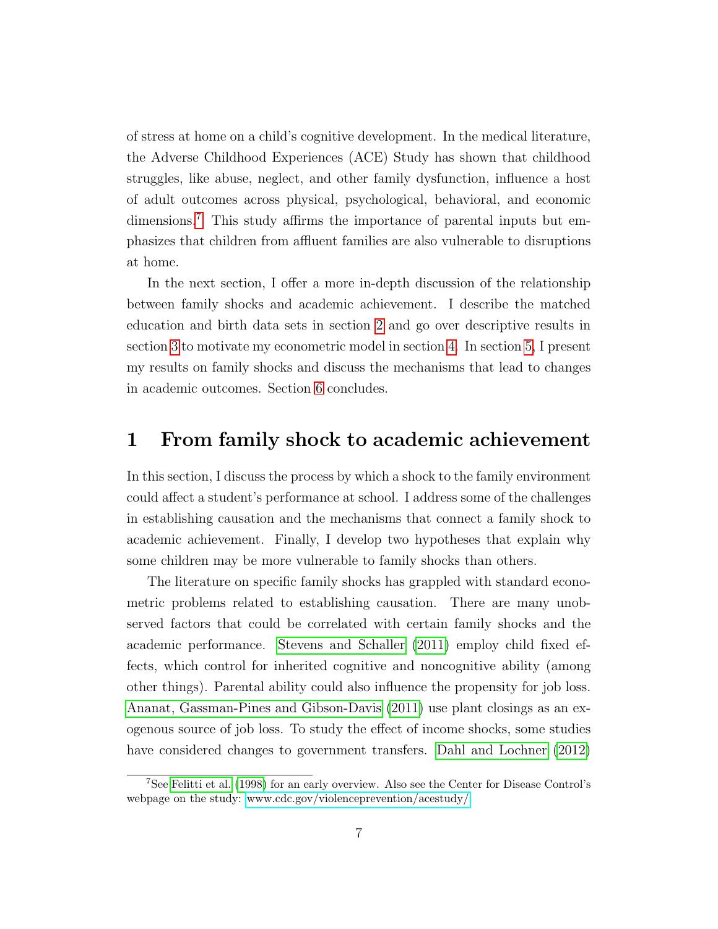of stress at home on a child's cognitive development. In the medical literature, the Adverse Childhood Experiences (ACE) Study has shown that childhood struggles, like abuse, neglect, and other family dysfunction, influence a host of adult outcomes across physical, psychological, behavioral, and economic dimensions.[7](#page-8-0) This study affirms the importance of parental inputs but emphasizes that children from affluent families are also vulnerable to disruptions at home.

In the next section, I offer a more in-depth discussion of the relationship between family shocks and academic achievement. I describe the matched education and birth data sets in section [2](#page-10-0) and go over descriptive results in section [3](#page-13-0) to motivate my econometric model in section [4.](#page-17-0) In section [5,](#page-20-0) I present my results on family shocks and discuss the mechanisms that lead to changes in academic outcomes. Section [6](#page-26-0) concludes.

#### 1 From family shock to academic achievement

In this section, I discuss the process by which a shock to the family environment could affect a student's performance at school. I address some of the challenges in establishing causation and the mechanisms that connect a family shock to academic achievement. Finally, I develop two hypotheses that explain why some children may be more vulnerable to family shocks than others.

The literature on specific family shocks has grappled with standard econometric problems related to establishing causation. There are many unobserved factors that could be correlated with certain family shocks and the academic performance. [Stevens and Schaller](#page-31-0) [\(2011\)](#page-31-0) employ child fixed effects, which control for inherited cognitive and noncognitive ability (among other things). Parental ability could also influence the propensity for job loss. [Ananat, Gassman-Pines and Gibson-Davis](#page-28-5) [\(2011\)](#page-28-5) use plant closings as an exogenous source of job loss. To study the effect of income shocks, some studies have considered changes to government transfers. [Dahl and Lochner](#page-29-1) [\(2012\)](#page-29-1)

<span id="page-8-0"></span><sup>7</sup>See [Felitti et al.](#page-29-6) [\(1998\)](#page-29-6) for an early overview. Also see the Center for Disease Control's webpage on the study: [www.cdc.gov/violenceprevention/acestudy/.](http://www.cdc.gov/violenceprevention/acestudy/)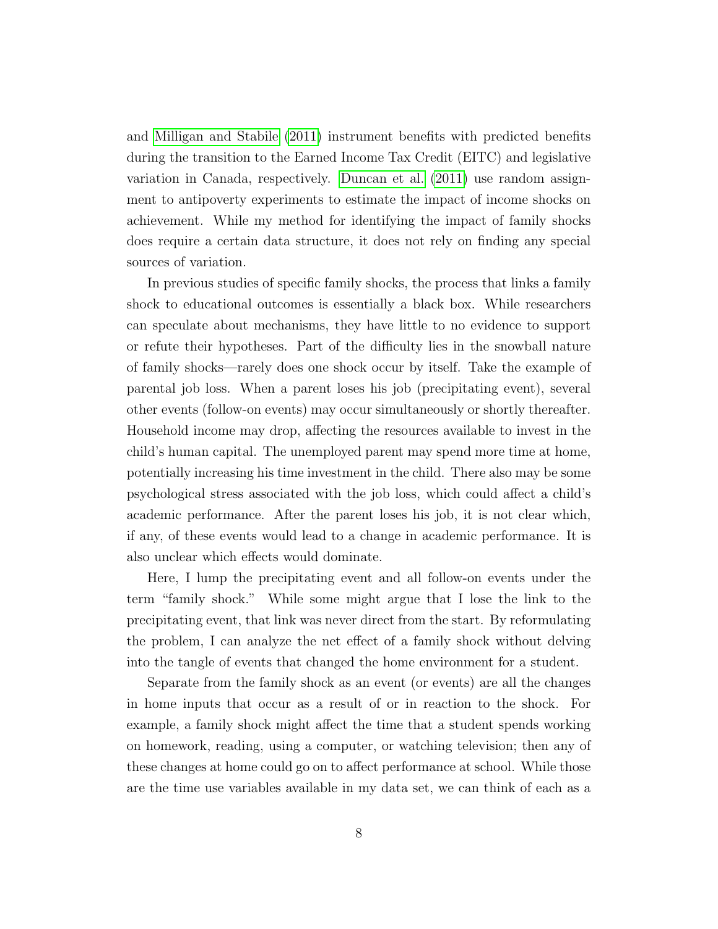and [Milligan and Stabile](#page-30-1) [\(2011\)](#page-30-1) instrument benefits with predicted benefits during the transition to the Earned Income Tax Credit (EITC) and legislative variation in Canada, respectively. [Duncan et al.](#page-29-0) [\(2011\)](#page-29-0) use random assignment to antipoverty experiments to estimate the impact of income shocks on achievement. While my method for identifying the impact of family shocks does require a certain data structure, it does not rely on finding any special sources of variation.

In previous studies of specific family shocks, the process that links a family shock to educational outcomes is essentially a black box. While researchers can speculate about mechanisms, they have little to no evidence to support or refute their hypotheses. Part of the difficulty lies in the snowball nature of family shocks—rarely does one shock occur by itself. Take the example of parental job loss. When a parent loses his job (precipitating event), several other events (follow-on events) may occur simultaneously or shortly thereafter. Household income may drop, affecting the resources available to invest in the child's human capital. The unemployed parent may spend more time at home, potentially increasing his time investment in the child. There also may be some psychological stress associated with the job loss, which could affect a child's academic performance. After the parent loses his job, it is not clear which, if any, of these events would lead to a change in academic performance. It is also unclear which effects would dominate.

Here, I lump the precipitating event and all follow-on events under the term "family shock." While some might argue that I lose the link to the precipitating event, that link was never direct from the start. By reformulating the problem, I can analyze the net effect of a family shock without delving into the tangle of events that changed the home environment for a student.

Separate from the family shock as an event (or events) are all the changes in home inputs that occur as a result of or in reaction to the shock. For example, a family shock might affect the time that a student spends working on homework, reading, using a computer, or watching television; then any of these changes at home could go on to affect performance at school. While those are the time use variables available in my data set, we can think of each as a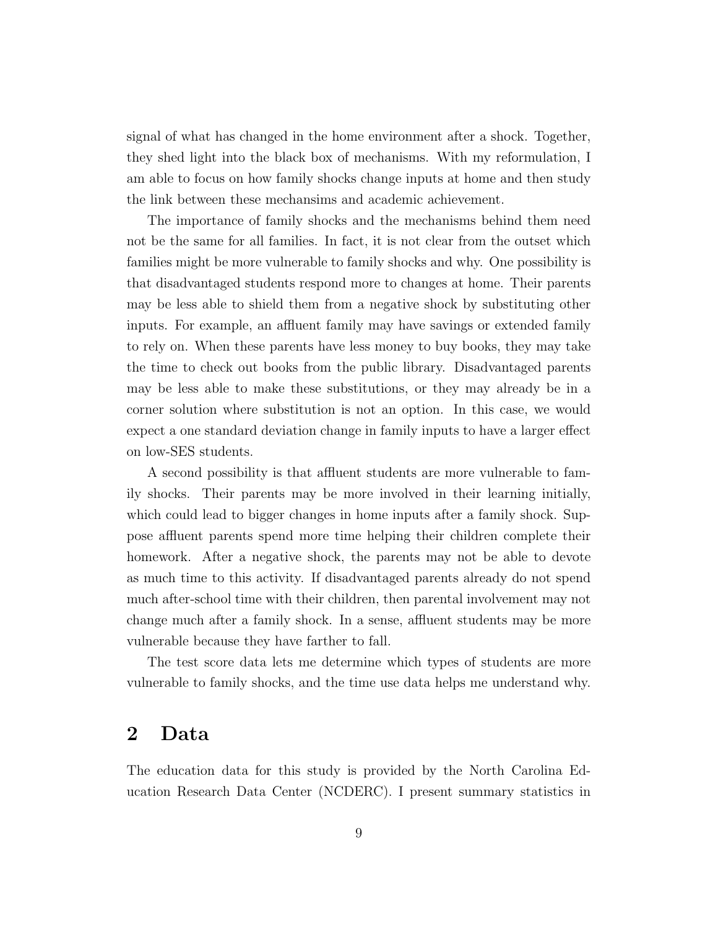signal of what has changed in the home environment after a shock. Together, they shed light into the black box of mechanisms. With my reformulation, I am able to focus on how family shocks change inputs at home and then study the link between these mechansims and academic achievement.

The importance of family shocks and the mechanisms behind them need not be the same for all families. In fact, it is not clear from the outset which families might be more vulnerable to family shocks and why. One possibility is that disadvantaged students respond more to changes at home. Their parents may be less able to shield them from a negative shock by substituting other inputs. For example, an affluent family may have savings or extended family to rely on. When these parents have less money to buy books, they may take the time to check out books from the public library. Disadvantaged parents may be less able to make these substitutions, or they may already be in a corner solution where substitution is not an option. In this case, we would expect a one standard deviation change in family inputs to have a larger effect on low-SES students.

A second possibility is that affluent students are more vulnerable to family shocks. Their parents may be more involved in their learning initially, which could lead to bigger changes in home inputs after a family shock. Suppose affluent parents spend more time helping their children complete their homework. After a negative shock, the parents may not be able to devote as much time to this activity. If disadvantaged parents already do not spend much after-school time with their children, then parental involvement may not change much after a family shock. In a sense, affluent students may be more vulnerable because they have farther to fall.

The test score data lets me determine which types of students are more vulnerable to family shocks, and the time use data helps me understand why.

## <span id="page-10-0"></span>2 Data

The education data for this study is provided by the North Carolina Education Research Data Center (NCDERC). I present summary statistics in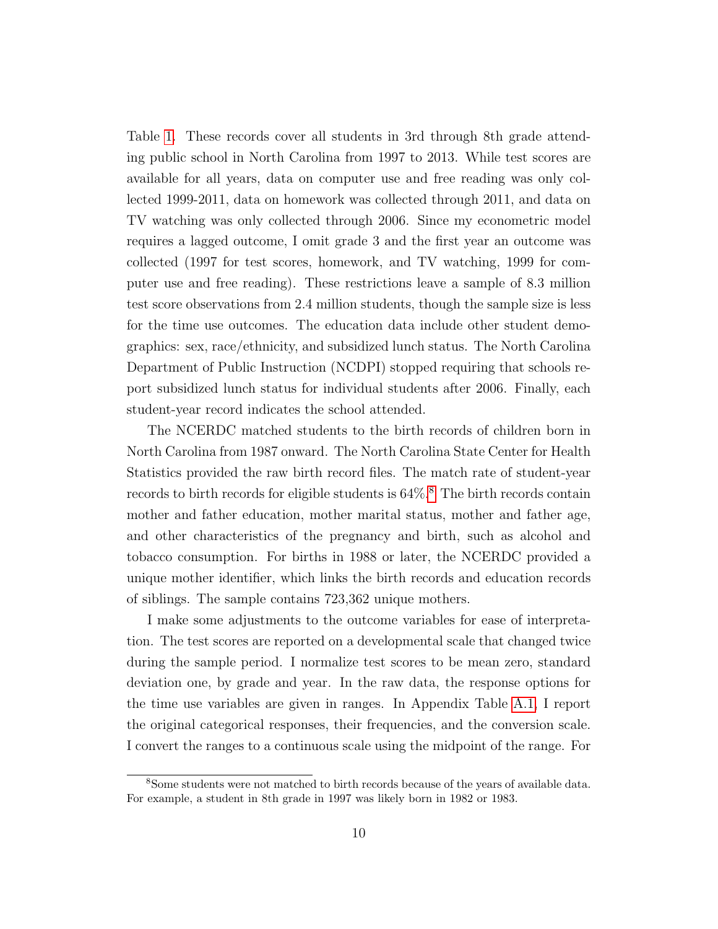Table [1.](#page-32-0) These records cover all students in 3rd through 8th grade attending public school in North Carolina from 1997 to 2013. While test scores are available for all years, data on computer use and free reading was only collected 1999-2011, data on homework was collected through 2011, and data on TV watching was only collected through 2006. Since my econometric model requires a lagged outcome, I omit grade 3 and the first year an outcome was collected (1997 for test scores, homework, and TV watching, 1999 for computer use and free reading). These restrictions leave a sample of 8.3 million test score observations from 2.4 million students, though the sample size is less for the time use outcomes. The education data include other student demographics: sex, race/ethnicity, and subsidized lunch status. The North Carolina Department of Public Instruction (NCDPI) stopped requiring that schools report subsidized lunch status for individual students after 2006. Finally, each student-year record indicates the school attended.

The NCERDC matched students to the birth records of children born in North Carolina from 1987 onward. The North Carolina State Center for Health Statistics provided the raw birth record files. The match rate of student-year records to birth records for eligible students is  $64\%$ .<sup>[8](#page-11-0)</sup> The birth records contain mother and father education, mother marital status, mother and father age, and other characteristics of the pregnancy and birth, such as alcohol and tobacco consumption. For births in 1988 or later, the NCERDC provided a unique mother identifier, which links the birth records and education records of siblings. The sample contains 723,362 unique mothers.

I make some adjustments to the outcome variables for ease of interpretation. The test scores are reported on a developmental scale that changed twice during the sample period. I normalize test scores to be mean zero, standard deviation one, by grade and year. In the raw data, the response options for the time use variables are given in ranges. In Appendix Table [A.1,](#page-41-0) I report the original categorical responses, their frequencies, and the conversion scale. I convert the ranges to a continuous scale using the midpoint of the range. For

<span id="page-11-0"></span><sup>8</sup>Some students were not matched to birth records because of the years of available data. For example, a student in 8th grade in 1997 was likely born in 1982 or 1983.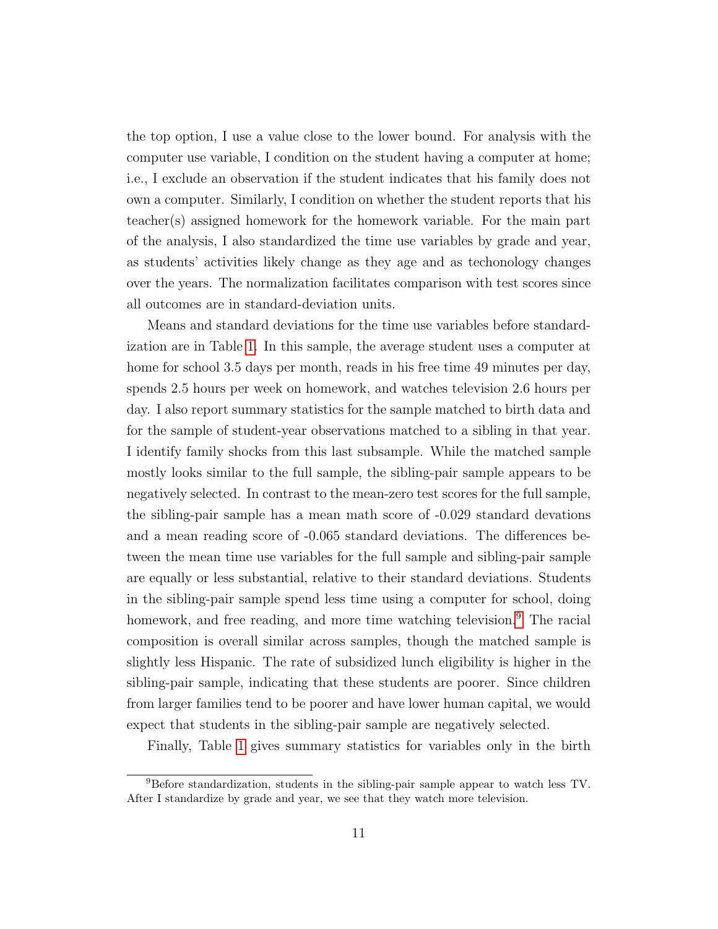the top option, I use a value close to the lower bound. For analysis with the computer use variable, I condition on the student having a computer at home; i.e., I exclude an observation if the student indicates that his family does not own a computer. Similarly, I condition on whether the student reports that his teacher(s) assigned homework for the homework variable. For the main part of the analysis, I also standardized the time use variables by grade and year, as students' activities likely change as they age and as techonology changes over the years. The normalization facilitates comparison with test scores since all outcomes are in standard-deviation units.

Means and standard deviations for the time use variables before standardization are in Table [1.](#page-32-0) In this sample, the average student uses a computer at home for school 3.5 days per month, reads in his free time 49 minutes per day, spends 2.5 hours per week on homework, and watches television 2.6 hours per day. I also report summary statistics for the sample matched to birth data and for the sample of student-year observations matched to a sibling in that year. I identify family shocks from this last subsample. While the matched sample mostly looks similar to the full sample, the sibling-pair sample appears to be negatively selected. In contrast to the mean-zero test scores for the full sample, the sibling-pair sample has a mean math score of -0.029 standard devations and a mean reading score of -0.065 standard deviations. The differences between the mean time use variables for the full sample and sibling-pair sample are equally or less substantial, relative to their standard deviations. Students in the sibling-pair sample spend less time using a computer for school, doing homework, and free reading, and more time watching television.<sup>[9](#page-12-0)</sup> The racial composition is overall similar across samples, though the matched sample is slightly less Hispanic. The rate of subsidized lunch eligibility is higher in the sibling-pair sample, indicating that these students are poorer. Since children from larger families tend to be poorer and have lower human capital, we would expect that students in the sibling-pair sample are negatively selected.

Finally, Table [1](#page-32-0) gives summary statistics for variables only in the birth

<span id="page-12-0"></span><sup>9</sup>Before standardization, students in the sibling-pair sample appear to watch less TV. After I standardize by grade and year, we see that they watch more television.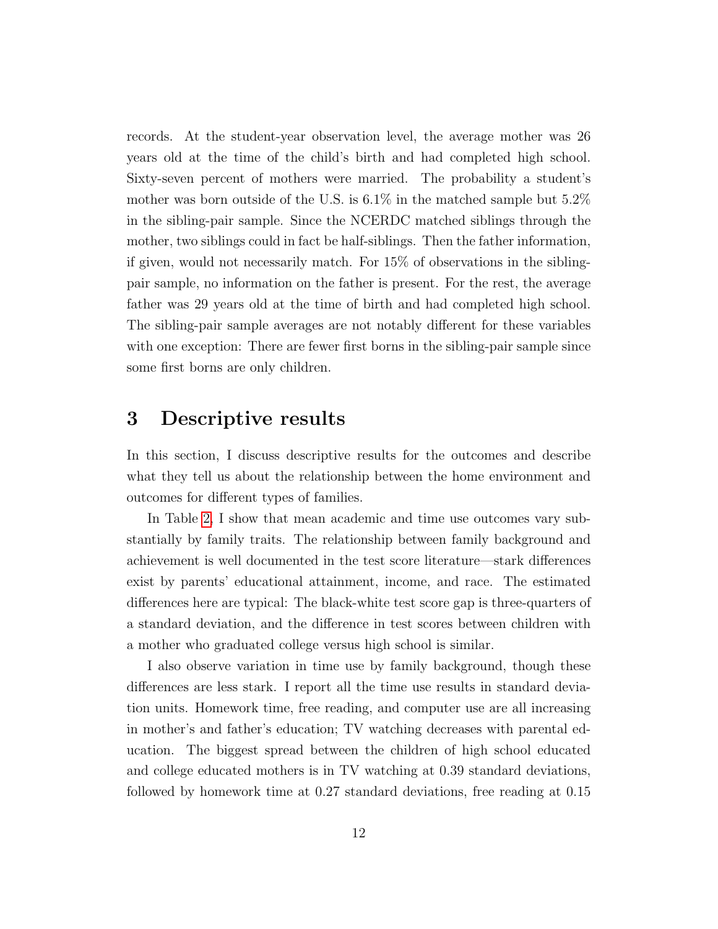records. At the student-year observation level, the average mother was 26 years old at the time of the child's birth and had completed high school. Sixty-seven percent of mothers were married. The probability a student's mother was born outside of the U.S. is 6.1% in the matched sample but 5.2% in the sibling-pair sample. Since the NCERDC matched siblings through the mother, two siblings could in fact be half-siblings. Then the father information, if given, would not necessarily match. For 15% of observations in the siblingpair sample, no information on the father is present. For the rest, the average father was 29 years old at the time of birth and had completed high school. The sibling-pair sample averages are not notably different for these variables with one exception: There are fewer first borns in the sibling-pair sample since some first borns are only children.

#### <span id="page-13-0"></span>3 Descriptive results

In this section, I discuss descriptive results for the outcomes and describe what they tell us about the relationship between the home environment and outcomes for different types of families.

In Table [2,](#page-33-0) I show that mean academic and time use outcomes vary substantially by family traits. The relationship between family background and achievement is well documented in the test score literature—stark differences exist by parents' educational attainment, income, and race. The estimated differences here are typical: The black-white test score gap is three-quarters of a standard deviation, and the difference in test scores between children with a mother who graduated college versus high school is similar.

I also observe variation in time use by family background, though these differences are less stark. I report all the time use results in standard deviation units. Homework time, free reading, and computer use are all increasing in mother's and father's education; TV watching decreases with parental education. The biggest spread between the children of high school educated and college educated mothers is in TV watching at 0.39 standard deviations, followed by homework time at 0.27 standard deviations, free reading at 0.15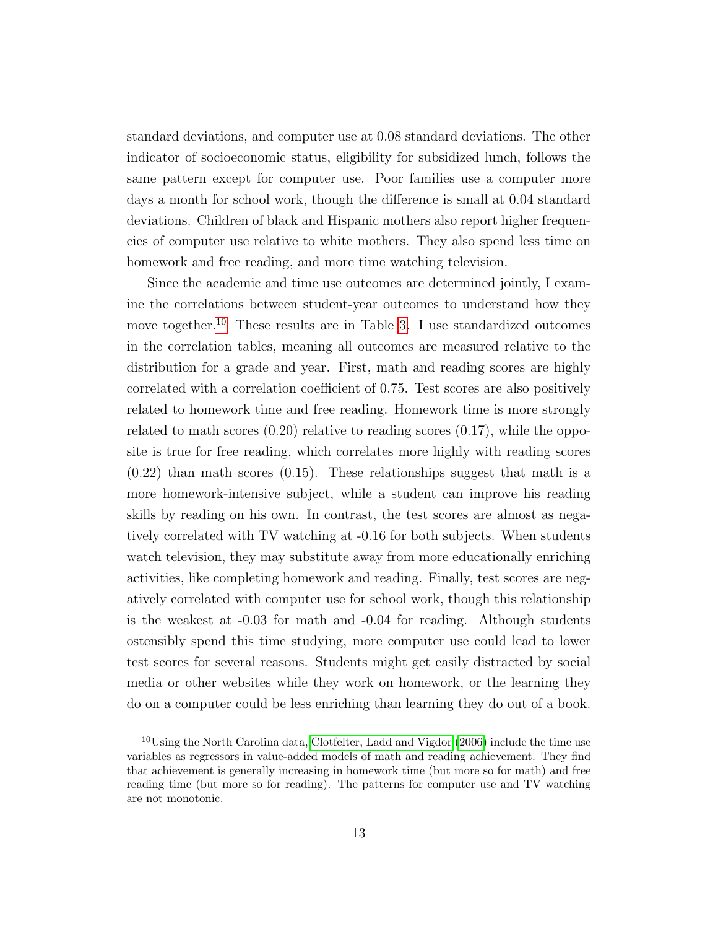standard deviations, and computer use at 0.08 standard deviations. The other indicator of socioeconomic status, eligibility for subsidized lunch, follows the same pattern except for computer use. Poor families use a computer more days a month for school work, though the difference is small at 0.04 standard deviations. Children of black and Hispanic mothers also report higher frequencies of computer use relative to white mothers. They also spend less time on homework and free reading, and more time watching television.

Since the academic and time use outcomes are determined jointly, I examine the correlations between student-year outcomes to understand how they move together.<sup>[10](#page-14-0)</sup> These results are in Table [3.](#page-35-0) I use standardized outcomes in the correlation tables, meaning all outcomes are measured relative to the distribution for a grade and year. First, math and reading scores are highly correlated with a correlation coefficient of 0.75. Test scores are also positively related to homework time and free reading. Homework time is more strongly related to math scores (0.20) relative to reading scores (0.17), while the opposite is true for free reading, which correlates more highly with reading scores  $(0.22)$  than math scores  $(0.15)$ . These relationships suggest that math is a more homework-intensive subject, while a student can improve his reading skills by reading on his own. In contrast, the test scores are almost as negatively correlated with TV watching at -0.16 for both subjects. When students watch television, they may substitute away from more educationally enriching activities, like completing homework and reading. Finally, test scores are negatively correlated with computer use for school work, though this relationship is the weakest at -0.03 for math and -0.04 for reading. Although students ostensibly spend this time studying, more computer use could lead to lower test scores for several reasons. Students might get easily distracted by social media or other websites while they work on homework, or the learning they do on a computer could be less enriching than learning they do out of a book.

<span id="page-14-0"></span><sup>10</sup>Using the North Carolina data, [Clotfelter, Ladd and Vigdor](#page-28-6) [\(2006\)](#page-28-6) include the time use variables as regressors in value-added models of math and reading achievement. They find that achievement is generally increasing in homework time (but more so for math) and free reading time (but more so for reading). The patterns for computer use and TV watching are not monotonic.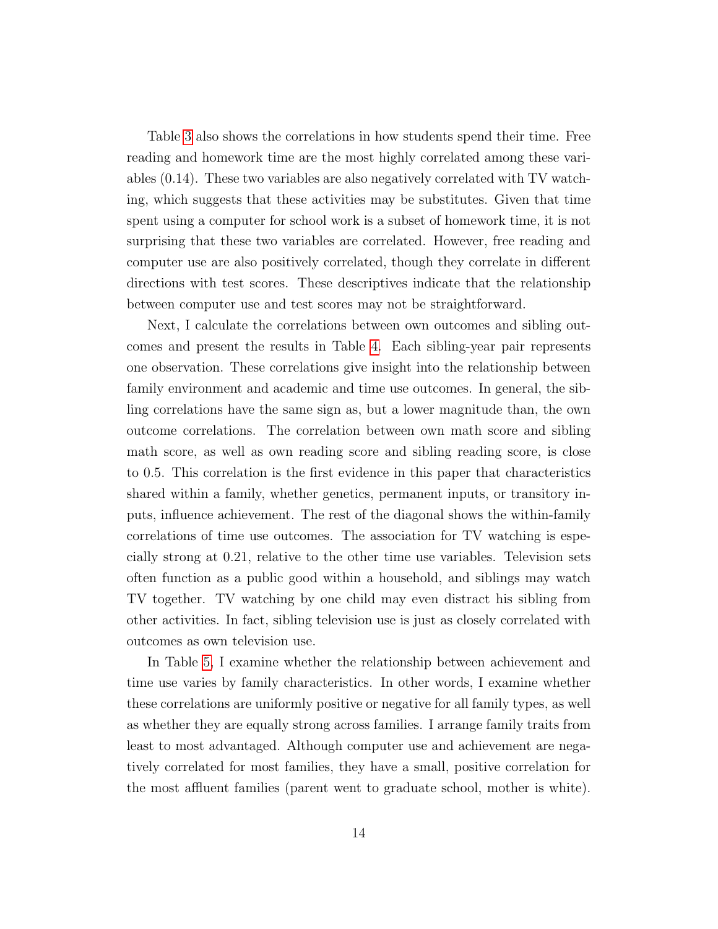Table [3](#page-35-0) also shows the correlations in how students spend their time. Free reading and homework time are the most highly correlated among these variables (0.14). These two variables are also negatively correlated with TV watching, which suggests that these activities may be substitutes. Given that time spent using a computer for school work is a subset of homework time, it is not surprising that these two variables are correlated. However, free reading and computer use are also positively correlated, though they correlate in different directions with test scores. These descriptives indicate that the relationship between computer use and test scores may not be straightforward.

Next, I calculate the correlations between own outcomes and sibling outcomes and present the results in Table [4.](#page-35-1) Each sibling-year pair represents one observation. These correlations give insight into the relationship between family environment and academic and time use outcomes. In general, the sibling correlations have the same sign as, but a lower magnitude than, the own outcome correlations. The correlation between own math score and sibling math score, as well as own reading score and sibling reading score, is close to 0.5. This correlation is the first evidence in this paper that characteristics shared within a family, whether genetics, permanent inputs, or transitory inputs, influence achievement. The rest of the diagonal shows the within-family correlations of time use outcomes. The association for TV watching is especially strong at 0.21, relative to the other time use variables. Television sets often function as a public good within a household, and siblings may watch TV together. TV watching by one child may even distract his sibling from other activities. In fact, sibling television use is just as closely correlated with outcomes as own television use.

In Table [5,](#page-36-0) I examine whether the relationship between achievement and time use varies by family characteristics. In other words, I examine whether these correlations are uniformly positive or negative for all family types, as well as whether they are equally strong across families. I arrange family traits from least to most advantaged. Although computer use and achievement are negatively correlated for most families, they have a small, positive correlation for the most affluent families (parent went to graduate school, mother is white).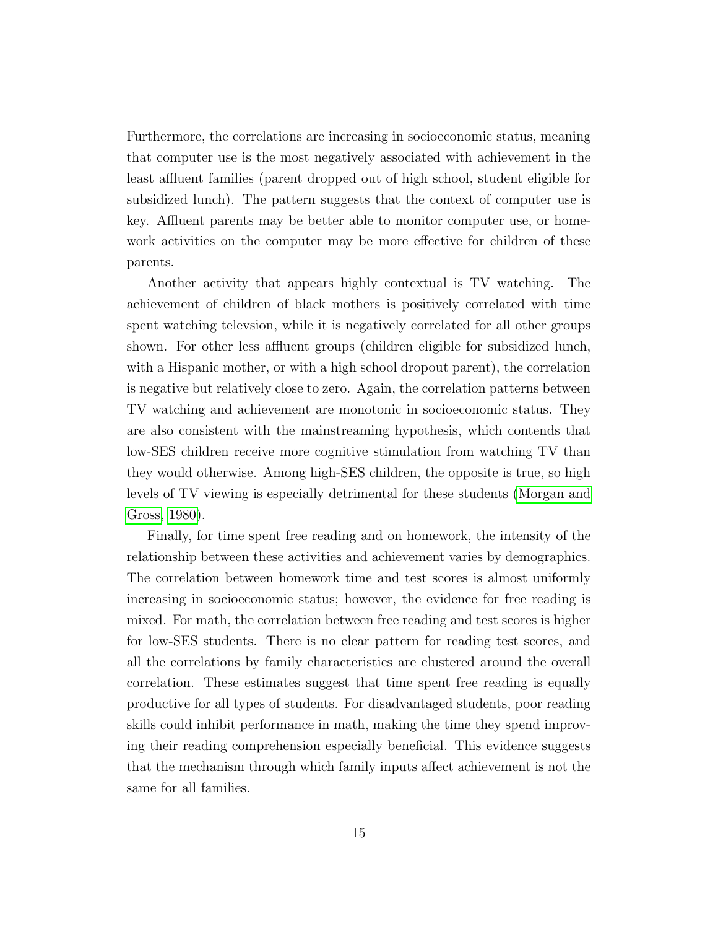Furthermore, the correlations are increasing in socioeconomic status, meaning that computer use is the most negatively associated with achievement in the least affluent families (parent dropped out of high school, student eligible for subsidized lunch). The pattern suggests that the context of computer use is key. Affluent parents may be better able to monitor computer use, or homework activities on the computer may be more effective for children of these parents.

Another activity that appears highly contextual is TV watching. The achievement of children of black mothers is positively correlated with time spent watching televsion, while it is negatively correlated for all other groups shown. For other less affluent groups (children eligible for subsidized lunch, with a Hispanic mother, or with a high school dropout parent), the correlation is negative but relatively close to zero. Again, the correlation patterns between TV watching and achievement are monotonic in socioeconomic status. They are also consistent with the mainstreaming hypothesis, which contends that low-SES children receive more cognitive stimulation from watching TV than they would otherwise. Among high-SES children, the opposite is true, so high levels of TV viewing is especially detrimental for these students [\(Morgan and](#page-30-9) [Gross, 1980\)](#page-30-9).

Finally, for time spent free reading and on homework, the intensity of the relationship between these activities and achievement varies by demographics. The correlation between homework time and test scores is almost uniformly increasing in socioeconomic status; however, the evidence for free reading is mixed. For math, the correlation between free reading and test scores is higher for low-SES students. There is no clear pattern for reading test scores, and all the correlations by family characteristics are clustered around the overall correlation. These estimates suggest that time spent free reading is equally productive for all types of students. For disadvantaged students, poor reading skills could inhibit performance in math, making the time they spend improving their reading comprehension especially beneficial. This evidence suggests that the mechanism through which family inputs affect achievement is not the same for all families.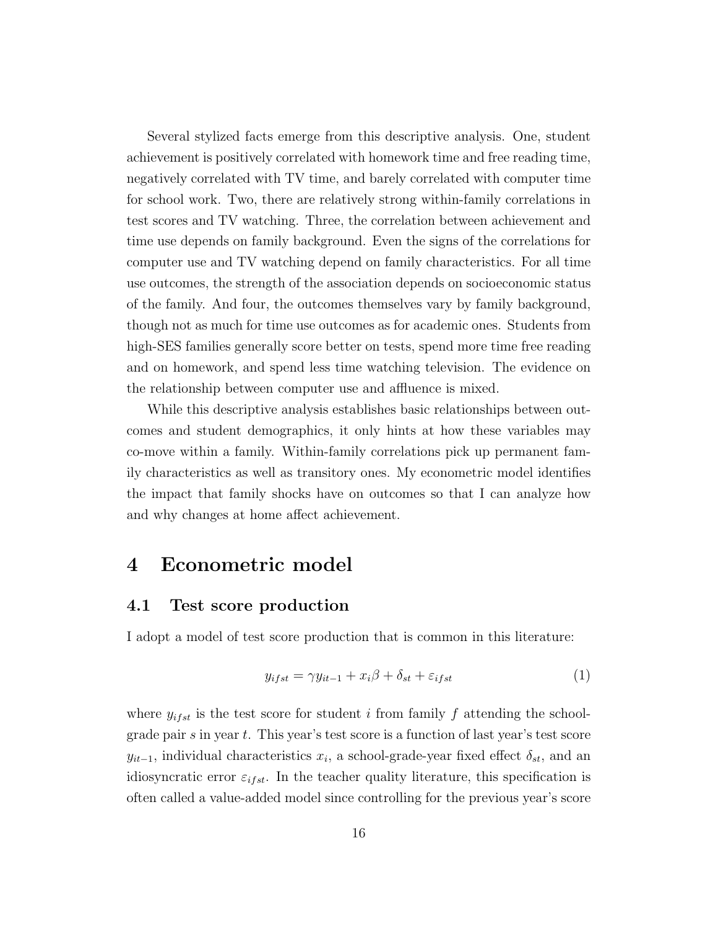Several stylized facts emerge from this descriptive analysis. One, student achievement is positively correlated with homework time and free reading time, negatively correlated with TV time, and barely correlated with computer time for school work. Two, there are relatively strong within-family correlations in test scores and TV watching. Three, the correlation between achievement and time use depends on family background. Even the signs of the correlations for computer use and TV watching depend on family characteristics. For all time use outcomes, the strength of the association depends on socioeconomic status of the family. And four, the outcomes themselves vary by family background, though not as much for time use outcomes as for academic ones. Students from high-SES families generally score better on tests, spend more time free reading and on homework, and spend less time watching television. The evidence on the relationship between computer use and affluence is mixed.

While this descriptive analysis establishes basic relationships between outcomes and student demographics, it only hints at how these variables may co-move within a family. Within-family correlations pick up permanent family characteristics as well as transitory ones. My econometric model identifies the impact that family shocks have on outcomes so that I can analyze how and why changes at home affect achievement.

#### <span id="page-17-0"></span>4 Econometric model

#### 4.1 Test score production

I adopt a model of test score production that is common in this literature:

<span id="page-17-1"></span>
$$
y_{ifst} = \gamma y_{it-1} + x_i \beta + \delta_{st} + \varepsilon_{ifst}
$$
\n<sup>(1)</sup>

where  $y_{ifst}$  is the test score for student i from family f attending the schoolgrade pair  $s$  in year  $t$ . This year's test score is a function of last year's test score  $y_{it-1}$ , individual characteristics  $x_i$ , a school-grade-year fixed effect  $\delta_{st}$ , and an idiosyncratic error  $\varepsilon_{ifst}$ . In the teacher quality literature, this specification is often called a value-added model since controlling for the previous year's score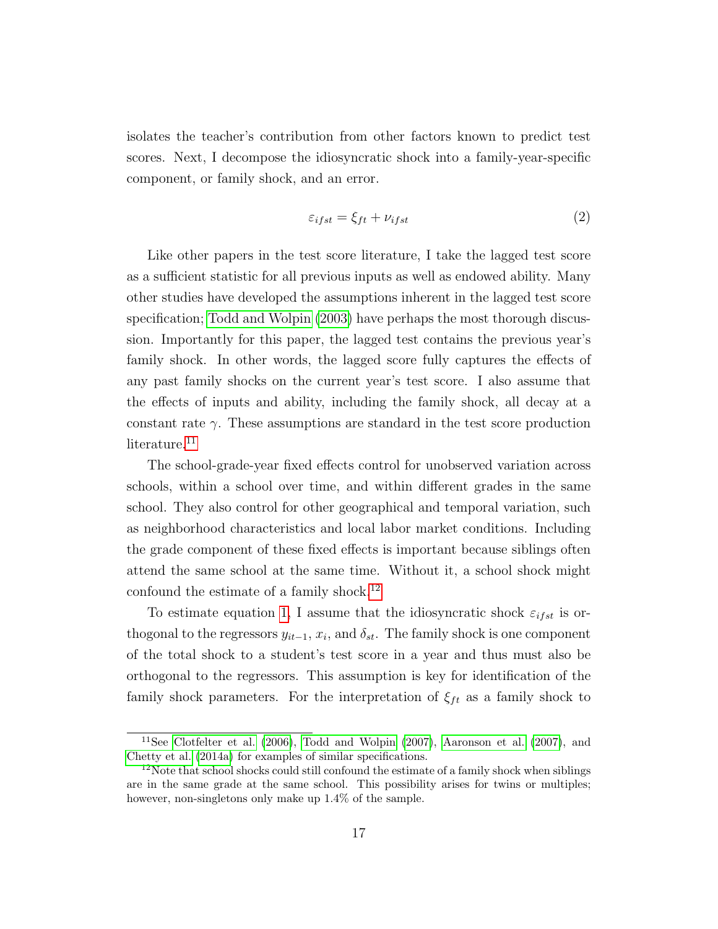isolates the teacher's contribution from other factors known to predict test scores. Next, I decompose the idiosyncratic shock into a family-year-specific component, or family shock, and an error.

<span id="page-18-2"></span>
$$
\varepsilon_{ifst} = \xi_{ft} + \nu_{ifst} \tag{2}
$$

Like other papers in the test score literature, I take the lagged test score as a sufficient statistic for all previous inputs as well as endowed ability. Many other studies have developed the assumptions inherent in the lagged test score specification; [Todd and Wolpin](#page-31-3) [\(2003\)](#page-31-3) have perhaps the most thorough discussion. Importantly for this paper, the lagged test contains the previous year's family shock. In other words, the lagged score fully captures the effects of any past family shocks on the current year's test score. I also assume that the effects of inputs and ability, including the family shock, all decay at a constant rate  $\gamma$ . These assumptions are standard in the test score production literature.<sup>[11](#page-18-0)</sup>

The school-grade-year fixed effects control for unobserved variation across schools, within a school over time, and within different grades in the same school. They also control for other geographical and temporal variation, such as neighborhood characteristics and local labor market conditions. Including the grade component of these fixed effects is important because siblings often attend the same school at the same time. Without it, a school shock might confound the estimate of a family shock.<sup>[12](#page-18-1)</sup>

To estimate equation [1,](#page-17-1) I assume that the idiosyncratic shock  $\varepsilon_{ifst}$  is orthogonal to the regressors  $y_{it-1}, x_i$ , and  $\delta_{st}$ . The family shock is one component of the total shock to a student's test score in a year and thus must also be orthogonal to the regressors. This assumption is key for identification of the family shock parameters. For the interpretation of  $\xi_{ft}$  as a family shock to

<span id="page-18-0"></span><sup>&</sup>lt;sup>11</sup>See [Clotfelter et al.](#page-28-6)  $(2006)$ , [Todd and Wolpin](#page-31-4)  $(2007)$ , [Aaronson et al.](#page-28-3)  $(2007)$ , and [Chetty et al.](#page-28-2) [\(2014a\)](#page-28-2) for examples of similar specifications.

<span id="page-18-1"></span> $12$ Note that school shocks could still confound the estimate of a family shock when siblings are in the same grade at the same school. This possibility arises for twins or multiples; however, non-singletons only make up  $1.4\%$  of the sample.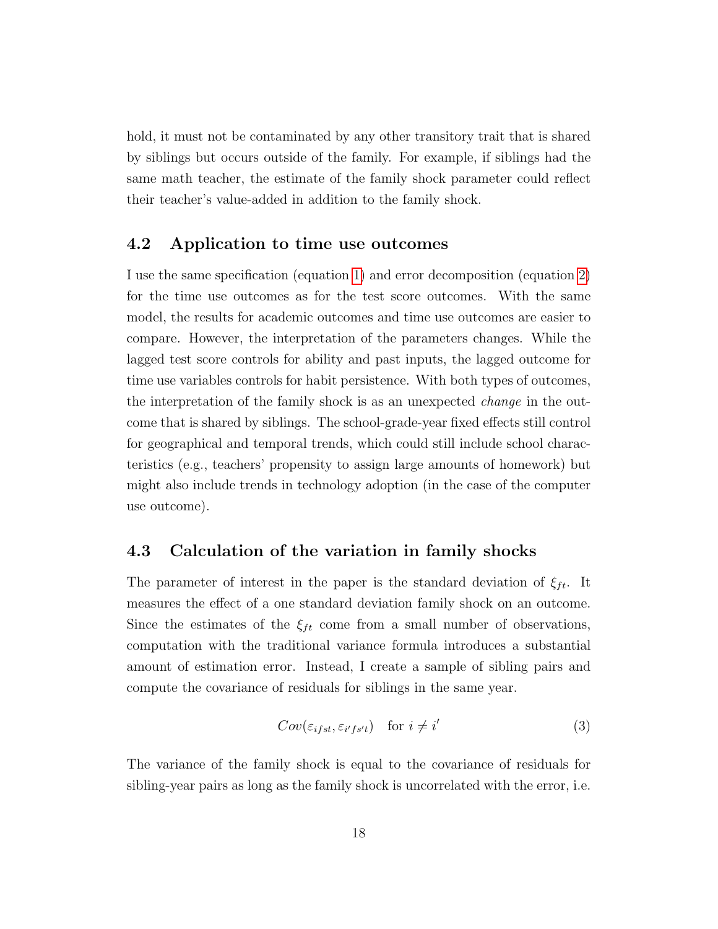hold, it must not be contaminated by any other transitory trait that is shared by siblings but occurs outside of the family. For example, if siblings had the same math teacher, the estimate of the family shock parameter could reflect their teacher's value-added in addition to the family shock.

#### 4.2 Application to time use outcomes

I use the same specification (equation [1\)](#page-17-1) and error decomposition (equation [2\)](#page-18-2) for the time use outcomes as for the test score outcomes. With the same model, the results for academic outcomes and time use outcomes are easier to compare. However, the interpretation of the parameters changes. While the lagged test score controls for ability and past inputs, the lagged outcome for time use variables controls for habit persistence. With both types of outcomes, the interpretation of the family shock is as an unexpected change in the outcome that is shared by siblings. The school-grade-year fixed effects still control for geographical and temporal trends, which could still include school characteristics (e.g., teachers' propensity to assign large amounts of homework) but might also include trends in technology adoption (in the case of the computer use outcome).

#### 4.3 Calculation of the variation in family shocks

The parameter of interest in the paper is the standard deviation of  $\xi_{ft}$ . It measures the effect of a one standard deviation family shock on an outcome. Since the estimates of the  $\xi_{ft}$  come from a small number of observations, computation with the traditional variance formula introduces a substantial amount of estimation error. Instead, I create a sample of sibling pairs and compute the covariance of residuals for siblings in the same year.

$$
Cov(\varepsilon_{ifst}, \varepsilon_{i'fs't}) \quad \text{for } i \neq i'
$$
 (3)

The variance of the family shock is equal to the covariance of residuals for sibling-year pairs as long as the family shock is uncorrelated with the error, i.e.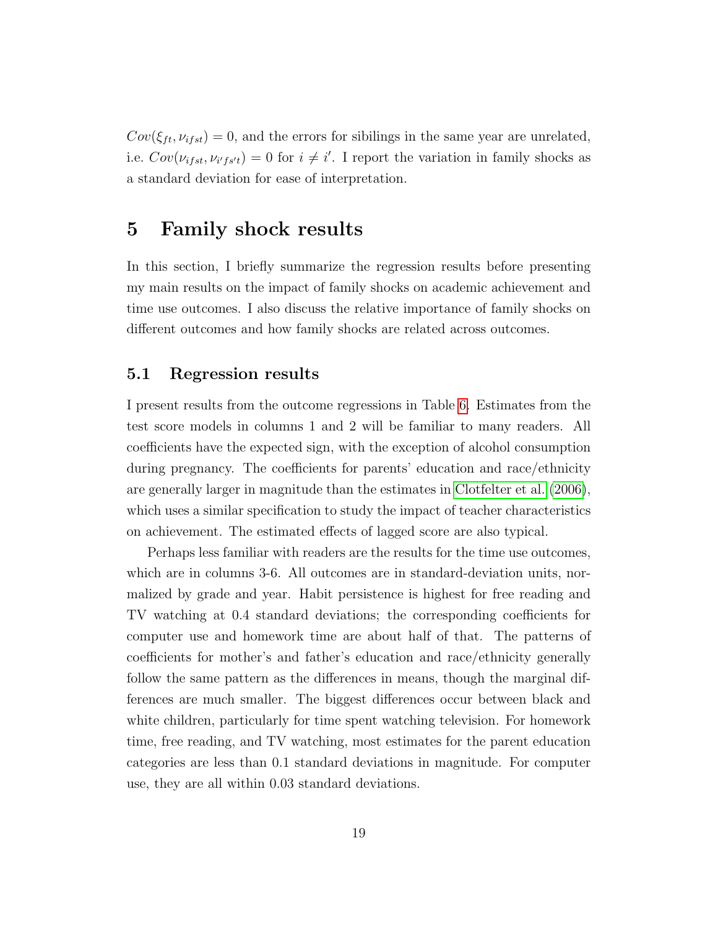$Cov(\xi_{ft}, \nu_{ifst}) = 0$ , and the errors for sibilings in the same year are unrelated, i.e.  $Cov(\nu_{ifst}, \nu_{i's't}) = 0$  for  $i \neq i'$ . I report the variation in family shocks as a standard deviation for ease of interpretation.

## <span id="page-20-0"></span>5 Family shock results

In this section, I briefly summarize the regression results before presenting my main results on the impact of family shocks on academic achievement and time use outcomes. I also discuss the relative importance of family shocks on different outcomes and how family shocks are related across outcomes.

#### 5.1 Regression results

I present results from the outcome regressions in Table [6.](#page-37-0) Estimates from the test score models in columns 1 and 2 will be familiar to many readers. All coefficients have the expected sign, with the exception of alcohol consumption during pregnancy. The coefficients for parents' education and race/ethnicity are generally larger in magnitude than the estimates in [Clotfelter et al.](#page-28-6) [\(2006\)](#page-28-6), which uses a similar specification to study the impact of teacher characteristics on achievement. The estimated effects of lagged score are also typical.

Perhaps less familiar with readers are the results for the time use outcomes, which are in columns 3-6. All outcomes are in standard-deviation units, normalized by grade and year. Habit persistence is highest for free reading and TV watching at 0.4 standard deviations; the corresponding coefficients for computer use and homework time are about half of that. The patterns of coefficients for mother's and father's education and race/ethnicity generally follow the same pattern as the differences in means, though the marginal differences are much smaller. The biggest differences occur between black and white children, particularly for time spent watching television. For homework time, free reading, and TV watching, most estimates for the parent education categories are less than 0.1 standard deviations in magnitude. For computer use, they are all within 0.03 standard deviations.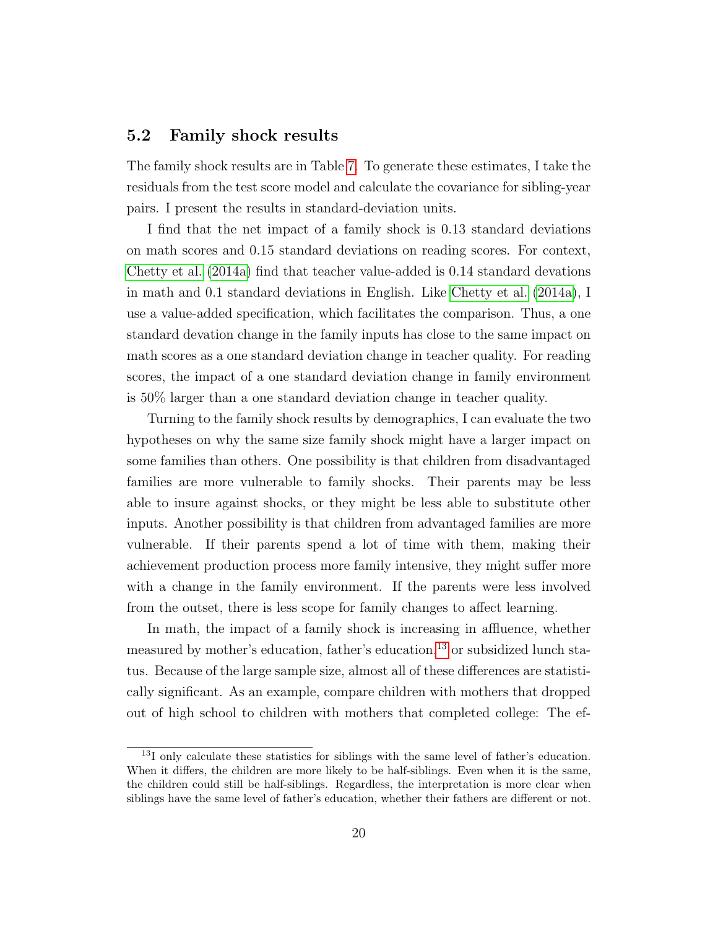#### 5.2 Family shock results

The family shock results are in Table [7.](#page-39-0) To generate these estimates, I take the residuals from the test score model and calculate the covariance for sibling-year pairs. I present the results in standard-deviation units.

I find that the net impact of a family shock is 0.13 standard deviations on math scores and 0.15 standard deviations on reading scores. For context, [Chetty et al.](#page-28-2) [\(2014a\)](#page-28-2) find that teacher value-added is 0.14 standard devations in math and 0.1 standard deviations in English. Like [Chetty et al.](#page-28-2) [\(2014a\)](#page-28-2), I use a value-added specification, which facilitates the comparison. Thus, a one standard devation change in the family inputs has close to the same impact on math scores as a one standard deviation change in teacher quality. For reading scores, the impact of a one standard deviation change in family environment is 50% larger than a one standard deviation change in teacher quality.

Turning to the family shock results by demographics, I can evaluate the two hypotheses on why the same size family shock might have a larger impact on some families than others. One possibility is that children from disadvantaged families are more vulnerable to family shocks. Their parents may be less able to insure against shocks, or they might be less able to substitute other inputs. Another possibility is that children from advantaged families are more vulnerable. If their parents spend a lot of time with them, making their achievement production process more family intensive, they might suffer more with a change in the family environment. If the parents were less involved from the outset, there is less scope for family changes to affect learning.

In math, the impact of a family shock is increasing in affluence, whether measured by mother's education, father's education,<sup>[13](#page-21-0)</sup> or subsidized lunch status. Because of the large sample size, almost all of these differences are statistically significant. As an example, compare children with mothers that dropped out of high school to children with mothers that completed college: The ef-

<span id="page-21-0"></span><sup>13</sup>I only calculate these statistics for siblings with the same level of father's education. When it differs, the children are more likely to be half-siblings. Even when it is the same, the children could still be half-siblings. Regardless, the interpretation is more clear when siblings have the same level of father's education, whether their fathers are different or not.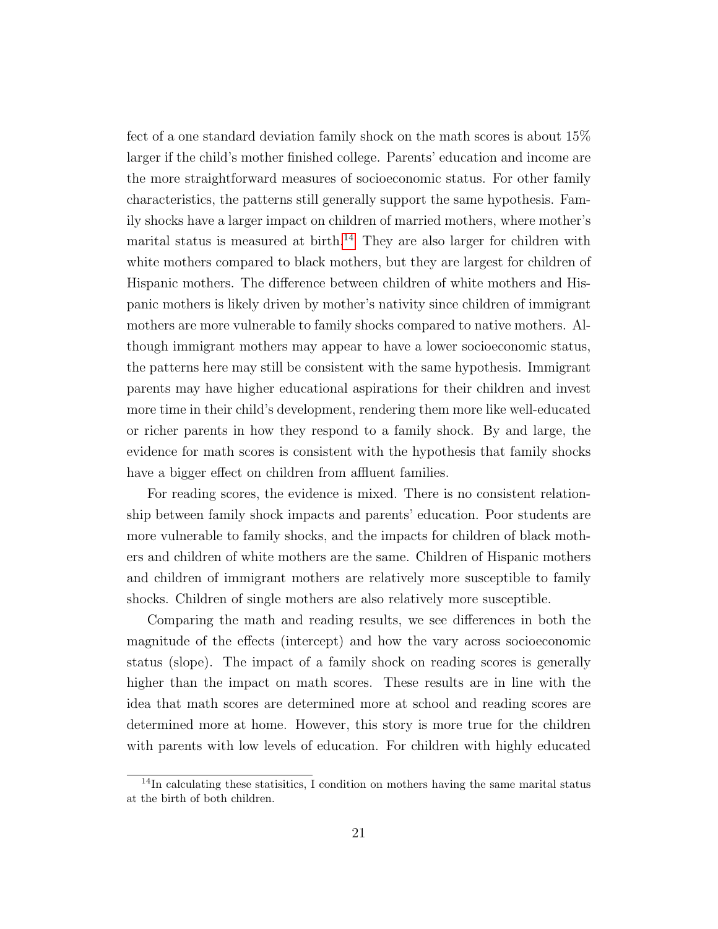fect of a one standard deviation family shock on the math scores is about 15% larger if the child's mother finished college. Parents' education and income are the more straightforward measures of socioeconomic status. For other family characteristics, the patterns still generally support the same hypothesis. Family shocks have a larger impact on children of married mothers, where mother's marital status is measured at birth.<sup>[14](#page-22-0)</sup> They are also larger for children with white mothers compared to black mothers, but they are largest for children of Hispanic mothers. The difference between children of white mothers and Hispanic mothers is likely driven by mother's nativity since children of immigrant mothers are more vulnerable to family shocks compared to native mothers. Although immigrant mothers may appear to have a lower socioeconomic status, the patterns here may still be consistent with the same hypothesis. Immigrant parents may have higher educational aspirations for their children and invest more time in their child's development, rendering them more like well-educated or richer parents in how they respond to a family shock. By and large, the evidence for math scores is consistent with the hypothesis that family shocks have a bigger effect on children from affluent families.

For reading scores, the evidence is mixed. There is no consistent relationship between family shock impacts and parents' education. Poor students are more vulnerable to family shocks, and the impacts for children of black mothers and children of white mothers are the same. Children of Hispanic mothers and children of immigrant mothers are relatively more susceptible to family shocks. Children of single mothers are also relatively more susceptible.

Comparing the math and reading results, we see differences in both the magnitude of the effects (intercept) and how the vary across socioeconomic status (slope). The impact of a family shock on reading scores is generally higher than the impact on math scores. These results are in line with the idea that math scores are determined more at school and reading scores are determined more at home. However, this story is more true for the children with parents with low levels of education. For children with highly educated

<span id="page-22-0"></span><sup>&</sup>lt;sup>14</sup>In calculating these statisitics, I condition on mothers having the same marital status at the birth of both children.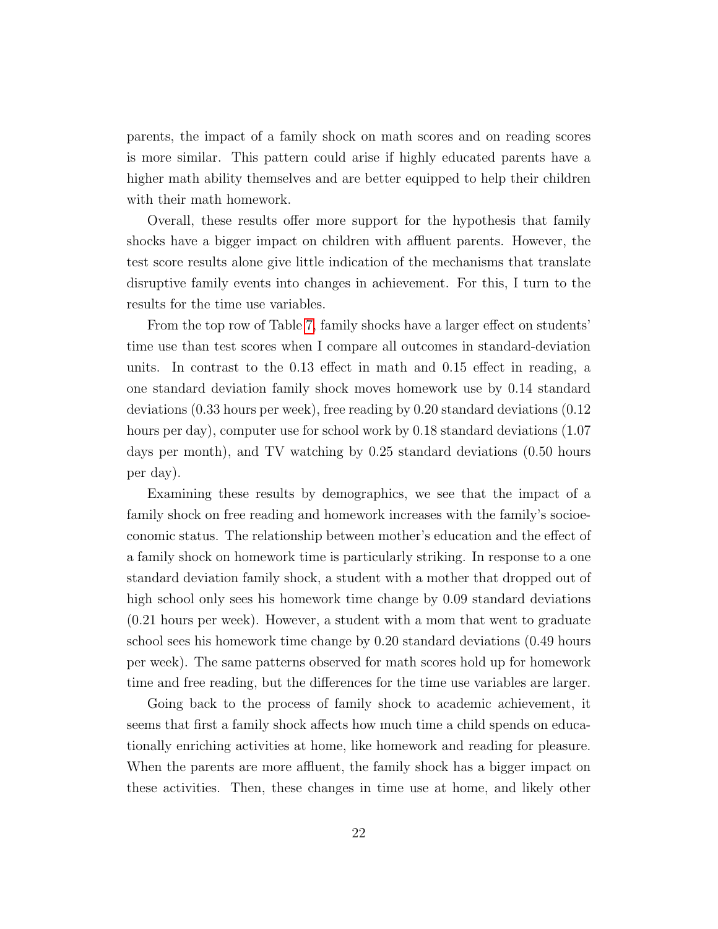parents, the impact of a family shock on math scores and on reading scores is more similar. This pattern could arise if highly educated parents have a higher math ability themselves and are better equipped to help their children with their math homework.

Overall, these results offer more support for the hypothesis that family shocks have a bigger impact on children with affluent parents. However, the test score results alone give little indication of the mechanisms that translate disruptive family events into changes in achievement. For this, I turn to the results for the time use variables.

From the top row of Table [7,](#page-39-0) family shocks have a larger effect on students' time use than test scores when I compare all outcomes in standard-deviation units. In contrast to the 0.13 effect in math and 0.15 effect in reading, a one standard deviation family shock moves homework use by 0.14 standard deviations (0.33 hours per week), free reading by 0.20 standard deviations (0.12 hours per day), computer use for school work by 0.18 standard deviations (1.07) days per month), and TV watching by 0.25 standard deviations (0.50 hours per day).

Examining these results by demographics, we see that the impact of a family shock on free reading and homework increases with the family's socioeconomic status. The relationship between mother's education and the effect of a family shock on homework time is particularly striking. In response to a one standard deviation family shock, a student with a mother that dropped out of high school only sees his homework time change by 0.09 standard deviations (0.21 hours per week). However, a student with a mom that went to graduate school sees his homework time change by 0.20 standard deviations (0.49 hours per week). The same patterns observed for math scores hold up for homework time and free reading, but the differences for the time use variables are larger.

Going back to the process of family shock to academic achievement, it seems that first a family shock affects how much time a child spends on educationally enriching activities at home, like homework and reading for pleasure. When the parents are more affluent, the family shock has a bigger impact on these activities. Then, these changes in time use at home, and likely other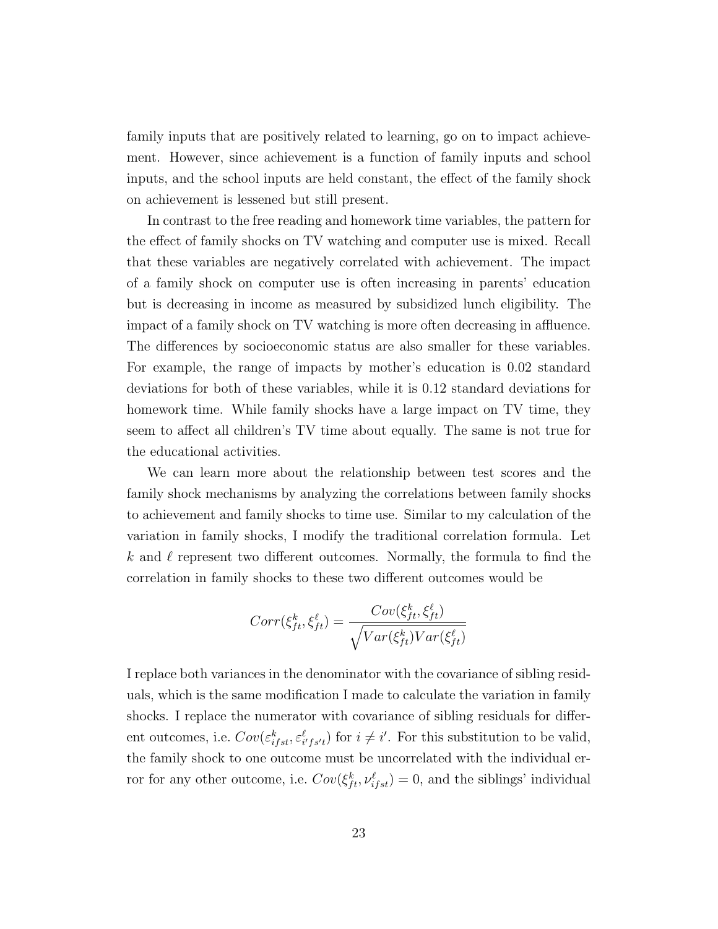family inputs that are positively related to learning, go on to impact achievement. However, since achievement is a function of family inputs and school inputs, and the school inputs are held constant, the effect of the family shock on achievement is lessened but still present.

In contrast to the free reading and homework time variables, the pattern for the effect of family shocks on TV watching and computer use is mixed. Recall that these variables are negatively correlated with achievement. The impact of a family shock on computer use is often increasing in parents' education but is decreasing in income as measured by subsidized lunch eligibility. The impact of a family shock on TV watching is more often decreasing in affluence. The differences by socioeconomic status are also smaller for these variables. For example, the range of impacts by mother's education is 0.02 standard deviations for both of these variables, while it is 0.12 standard deviations for homework time. While family shocks have a large impact on TV time, they seem to affect all children's TV time about equally. The same is not true for the educational activities.

We can learn more about the relationship between test scores and the family shock mechanisms by analyzing the correlations between family shocks to achievement and family shocks to time use. Similar to my calculation of the variation in family shocks, I modify the traditional correlation formula. Let k and  $\ell$  represent two different outcomes. Normally, the formula to find the correlation in family shocks to these two different outcomes would be

$$
Corr(\xi_{ft}^k, \xi_{ft}^\ell) = \frac{Cov(\xi_{ft}^k, \xi_{ft}^\ell)}{\sqrt{Var(\xi_{ft}^k)Var(\xi_{ft}^\ell)}}
$$

I replace both variances in the denominator with the covariance of sibling residuals, which is the same modification I made to calculate the variation in family shocks. I replace the numerator with covariance of sibling residuals for different outcomes, i.e.  $Cov(\varepsilon_{ifst}^k, \varepsilon_{ifs't}^\ell)$  for  $i \neq i'$ . For this substitution to be valid, the family shock to one outcome must be uncorrelated with the individual error for any other outcome, i.e.  $Cov(\xi_{ft}^k, \nu_{ifst}^\ell) = 0$ , and the siblings' individual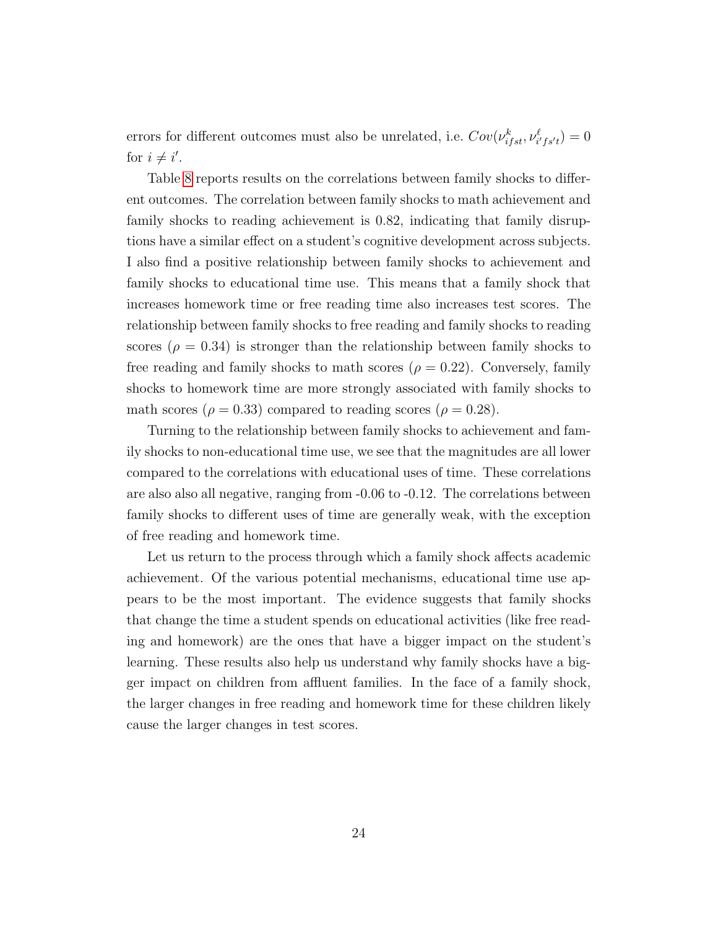errors for different outcomes must also be unrelated, i.e.  $Cov(\nu_{ifst}^k, \nu_{i'fs't}^{\ell}) = 0$ for  $i \neq i'$ .

Table [8](#page-40-0) reports results on the correlations between family shocks to different outcomes. The correlation between family shocks to math achievement and family shocks to reading achievement is 0.82, indicating that family disruptions have a similar effect on a student's cognitive development across subjects. I also find a positive relationship between family shocks to achievement and family shocks to educational time use. This means that a family shock that increases homework time or free reading time also increases test scores. The relationship between family shocks to free reading and family shocks to reading scores ( $\rho = 0.34$ ) is stronger than the relationship between family shocks to free reading and family shocks to math scores ( $\rho = 0.22$ ). Conversely, family shocks to homework time are more strongly associated with family shocks to math scores ( $\rho = 0.33$ ) compared to reading scores ( $\rho = 0.28$ ).

Turning to the relationship between family shocks to achievement and family shocks to non-educational time use, we see that the magnitudes are all lower compared to the correlations with educational uses of time. These correlations are also also all negative, ranging from -0.06 to -0.12. The correlations between family shocks to different uses of time are generally weak, with the exception of free reading and homework time.

Let us return to the process through which a family shock affects academic achievement. Of the various potential mechanisms, educational time use appears to be the most important. The evidence suggests that family shocks that change the time a student spends on educational activities (like free reading and homework) are the ones that have a bigger impact on the student's learning. These results also help us understand why family shocks have a bigger impact on children from affluent families. In the face of a family shock, the larger changes in free reading and homework time for these children likely cause the larger changes in test scores.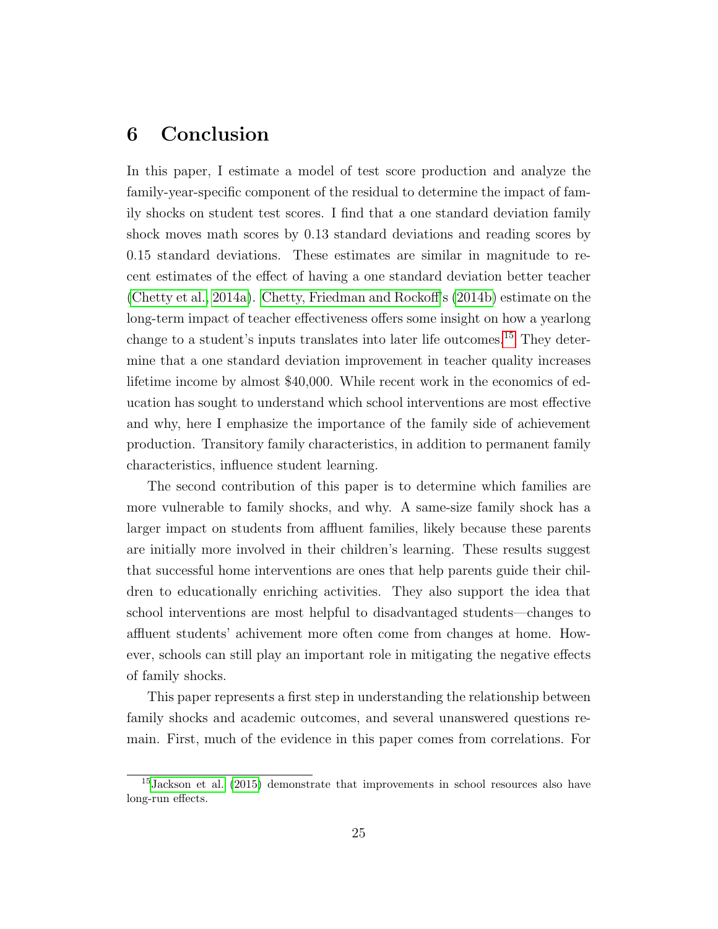## <span id="page-26-0"></span>6 Conclusion

In this paper, I estimate a model of test score production and analyze the family-year-specific component of the residual to determine the impact of family shocks on student test scores. I find that a one standard deviation family shock moves math scores by 0.13 standard deviations and reading scores by 0.15 standard deviations. These estimates are similar in magnitude to recent estimates of the effect of having a one standard deviation better teacher [\(Chetty et al., 2014a\)](#page-28-2). [Chetty, Friedman and Rockoff'](#page-28-7)s [\(2014b\)](#page-28-7) estimate on the long-term impact of teacher effectiveness offers some insight on how a yearlong change to a student's inputs translates into later life outcomes.[15](#page-26-1) They determine that a one standard deviation improvement in teacher quality increases lifetime income by almost \$40,000. While recent work in the economics of education has sought to understand which school interventions are most effective and why, here I emphasize the importance of the family side of achievement production. Transitory family characteristics, in addition to permanent family characteristics, influence student learning.

The second contribution of this paper is to determine which families are more vulnerable to family shocks, and why. A same-size family shock has a larger impact on students from affluent families, likely because these parents are initially more involved in their children's learning. These results suggest that successful home interventions are ones that help parents guide their children to educationally enriching activities. They also support the idea that school interventions are most helpful to disadvantaged students—changes to affluent students' achivement more often come from changes at home. However, schools can still play an important role in mitigating the negative effects of family shocks.

This paper represents a first step in understanding the relationship between family shocks and academic outcomes, and several unanswered questions remain. First, much of the evidence in this paper comes from correlations. For

<span id="page-26-1"></span><sup>15</sup>[Jackson et al.](#page-29-5) [\(2015\)](#page-29-5) demonstrate that improvements in school resources also have long-run effects.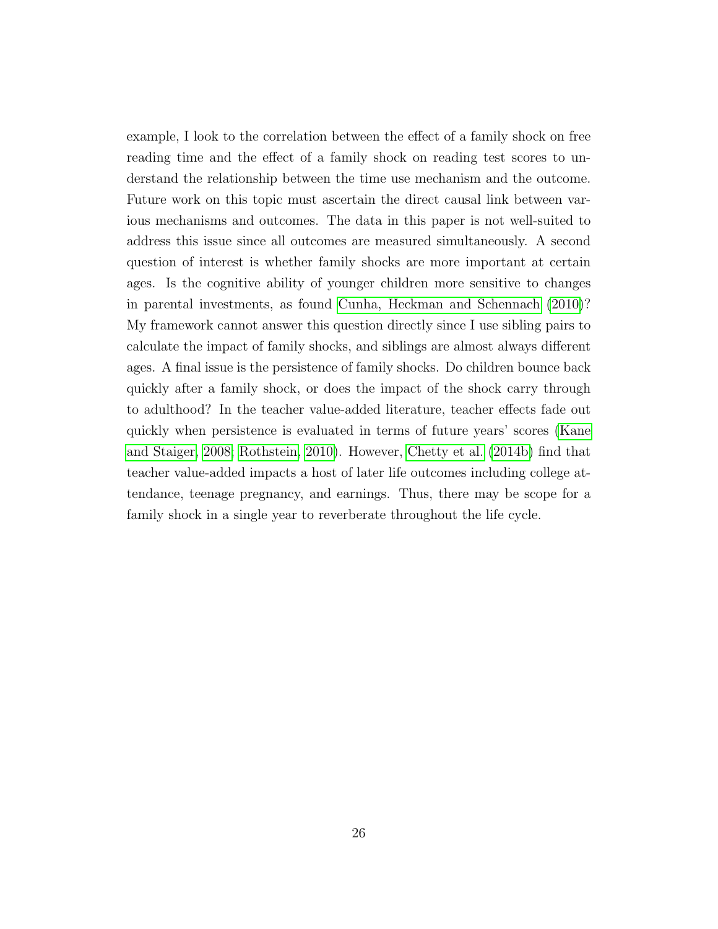example, I look to the correlation between the effect of a family shock on free reading time and the effect of a family shock on reading test scores to understand the relationship between the time use mechanism and the outcome. Future work on this topic must ascertain the direct causal link between various mechanisms and outcomes. The data in this paper is not well-suited to address this issue since all outcomes are measured simultaneously. A second question of interest is whether family shocks are more important at certain ages. Is the cognitive ability of younger children more sensitive to changes in parental investments, as found [Cunha, Heckman and Schennach](#page-29-7) [\(2010\)](#page-29-7)? My framework cannot answer this question directly since I use sibling pairs to calculate the impact of family shocks, and siblings are almost always different ages. A final issue is the persistence of family shocks. Do children bounce back quickly after a family shock, or does the impact of the shock carry through to adulthood? In the teacher value-added literature, teacher effects fade out quickly when persistence is evaluated in terms of future years' scores [\(Kane](#page-30-5) [and Staiger, 2008;](#page-30-5) [Rothstein, 2010\)](#page-31-5). However, [Chetty et al.](#page-28-7) [\(2014b\)](#page-28-7) find that teacher value-added impacts a host of later life outcomes including college attendance, teenage pregnancy, and earnings. Thus, there may be scope for a family shock in a single year to reverberate throughout the life cycle.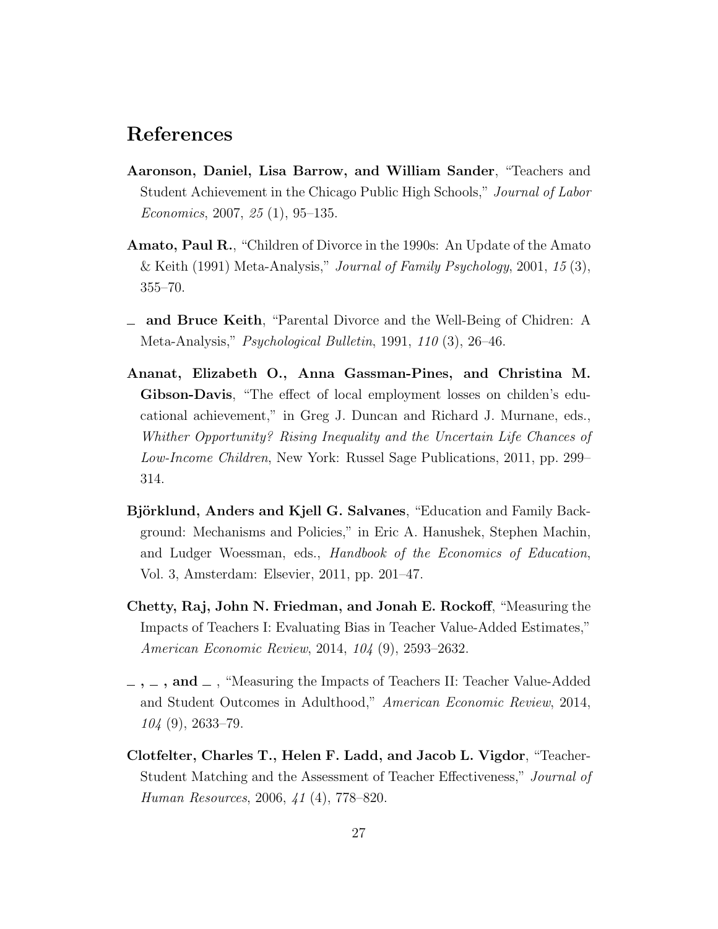## References

- <span id="page-28-3"></span>Aaronson, Daniel, Lisa Barrow, and William Sander, "Teachers and Student Achievement in the Chicago Public High Schools," Journal of Labor Economics, 2007, 25 (1), 95–135.
- <span id="page-28-1"></span>Amato, Paul R., "Children of Divorce in the 1990s: An Update of the Amato & Keith (1991) Meta-Analysis," *Journal of Family Psychology*, 2001, 15  $(3)$ , 355–70.
- <span id="page-28-0"></span>and Bruce Keith, "Parental Divorce and the Well-Being of Chidren: A Meta-Analysis," *Psychological Bulletin*, 1991, 110 (3), 26–46.
- <span id="page-28-5"></span>Ananat, Elizabeth O., Anna Gassman-Pines, and Christina M. Gibson-Davis, "The effect of local employment losses on childen's educational achievement," in Greg J. Duncan and Richard J. Murnane, eds., Whither Opportunity? Rising Inequality and the Uncertain Life Chances of Low-Income Children, New York: Russel Sage Publications, 2011, pp. 299– 314.
- <span id="page-28-4"></span>Björklund, Anders and Kjell G. Salvanes, "Education and Family Background: Mechanisms and Policies," in Eric A. Hanushek, Stephen Machin, and Ludger Woessman, eds., Handbook of the Economics of Education, Vol. 3, Amsterdam: Elsevier, 2011, pp. 201–47.
- <span id="page-28-2"></span>Chetty, Raj, John N. Friedman, and Jonah E. Rockoff, "Measuring the Impacts of Teachers I: Evaluating Bias in Teacher Value-Added Estimates," American Economic Review, 2014, 104 (9), 2593–2632.
- <span id="page-28-7"></span> $\ldots$ ,  $\ldots$ , and  $\ldots$ , "Measuring the Impacts of Teachers II: Teacher Value-Added and Student Outcomes in Adulthood," American Economic Review, 2014, 104 (9), 2633–79.
- <span id="page-28-6"></span>Clotfelter, Charles T., Helen F. Ladd, and Jacob L. Vigdor, "Teacher-Student Matching and the Assessment of Teacher Effectiveness," Journal of Human Resources, 2006, 41 (4), 778–820.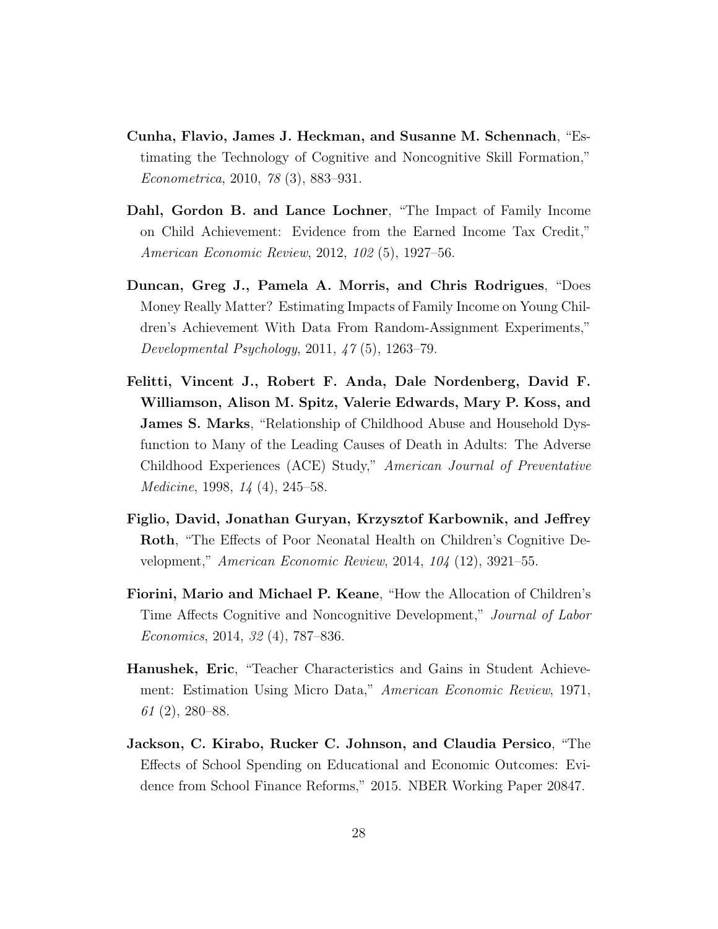- <span id="page-29-7"></span>Cunha, Flavio, James J. Heckman, and Susanne M. Schennach, "Estimating the Technology of Cognitive and Noncognitive Skill Formation," Econometrica, 2010, 78 (3), 883–931.
- <span id="page-29-1"></span>Dahl, Gordon B. and Lance Lochner, "The Impact of Family Income on Child Achievement: Evidence from the Earned Income Tax Credit," American Economic Review, 2012, 102 (5), 1927–56.
- <span id="page-29-0"></span>Duncan, Greg J., Pamela A. Morris, and Chris Rodrigues, "Does Money Really Matter? Estimating Impacts of Family Income on Young Children's Achievement With Data From Random-Assignment Experiments," Developmental Psychology, 2011, 47 (5), 1263–79.
- <span id="page-29-6"></span>Felitti, Vincent J., Robert F. Anda, Dale Nordenberg, David F. Williamson, Alison M. Spitz, Valerie Edwards, Mary P. Koss, and James S. Marks, "Relationship of Childhood Abuse and Household Dysfunction to Many of the Leading Causes of Death in Adults: The Adverse Childhood Experiences (ACE) Study," American Journal of Preventative Medicine, 1998, 14 (4), 245–58.
- <span id="page-29-3"></span>Figlio, David, Jonathan Guryan, Krzysztof Karbownik, and Jeffrey Roth, "The Effects of Poor Neonatal Health on Children's Cognitive Development," American Economic Review, 2014, 104 (12), 3921–55.
- <span id="page-29-4"></span>Fiorini, Mario and Michael P. Keane, "How the Allocation of Children's Time Affects Cognitive and Noncognitive Development," Journal of Labor Economics, 2014, 32 (4), 787–836.
- <span id="page-29-2"></span>Hanushek, Eric, "Teacher Characteristics and Gains in Student Achievement: Estimation Using Micro Data," American Economic Review, 1971, 61 (2), 280–88.
- <span id="page-29-5"></span>Jackson, C. Kirabo, Rucker C. Johnson, and Claudia Persico, "The Effects of School Spending on Educational and Economic Outcomes: Evidence from School Finance Reforms," 2015. NBER Working Paper 20847.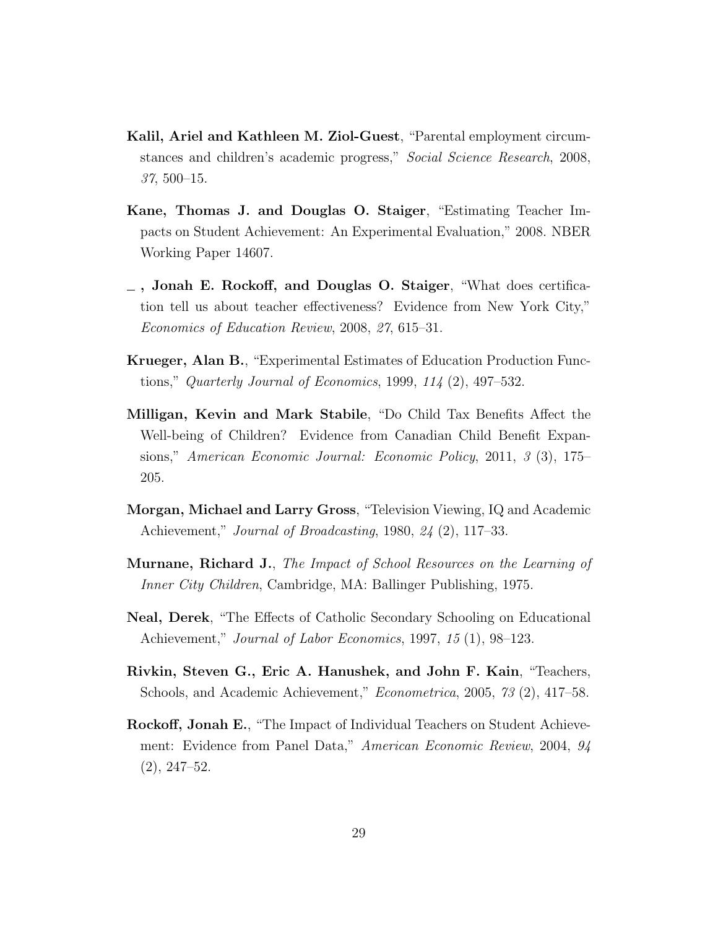- <span id="page-30-0"></span>Kalil, Ariel and Kathleen M. Ziol-Guest, "Parental employment circumstances and children's academic progress," Social Science Research, 2008, 37, 500–15.
- <span id="page-30-5"></span>Kane, Thomas J. and Douglas O. Staiger, "Estimating Teacher Impacts on Student Achievement: An Experimental Evaluation," 2008. NBER Working Paper 14607.
- <span id="page-30-2"></span>, Jonah E. Rockoff, and Douglas O. Staiger, "What does certification tell us about teacher effectiveness? Evidence from New York City," Economics of Education Review, 2008, 27, 615–31.
- <span id="page-30-7"></span>Krueger, Alan B., "Experimental Estimates of Education Production Functions," Quarterly Journal of Economics, 1999,  $114$   $(2)$ , 497–532.
- <span id="page-30-1"></span>Milligan, Kevin and Mark Stabile, "Do Child Tax Benefits Affect the Well-being of Children? Evidence from Canadian Child Benefit Expansions," American Economic Journal: Economic Policy, 2011, 3 (3), 175– 205.
- <span id="page-30-9"></span>Morgan, Michael and Larry Gross, "Television Viewing, IQ and Academic Achievement," Journal of Broadcasting, 1980, 24 (2), 117–33.
- <span id="page-30-6"></span>Murnane, Richard J., The Impact of School Resources on the Learning of Inner City Children, Cambridge, MA: Ballinger Publishing, 1975.
- <span id="page-30-8"></span>Neal, Derek, "The Effects of Catholic Secondary Schooling on Educational Achievement," Journal of Labor Economics, 1997, 15 (1), 98–123.
- <span id="page-30-4"></span>Rivkin, Steven G., Eric A. Hanushek, and John F. Kain, "Teachers, Schools, and Academic Achievement," Econometrica, 2005, 73 (2), 417–58.
- <span id="page-30-3"></span>Rockoff, Jonah E., "The Impact of Individual Teachers on Student Achievement: Evidence from Panel Data," American Economic Review, 2004, 94 (2), 247–52.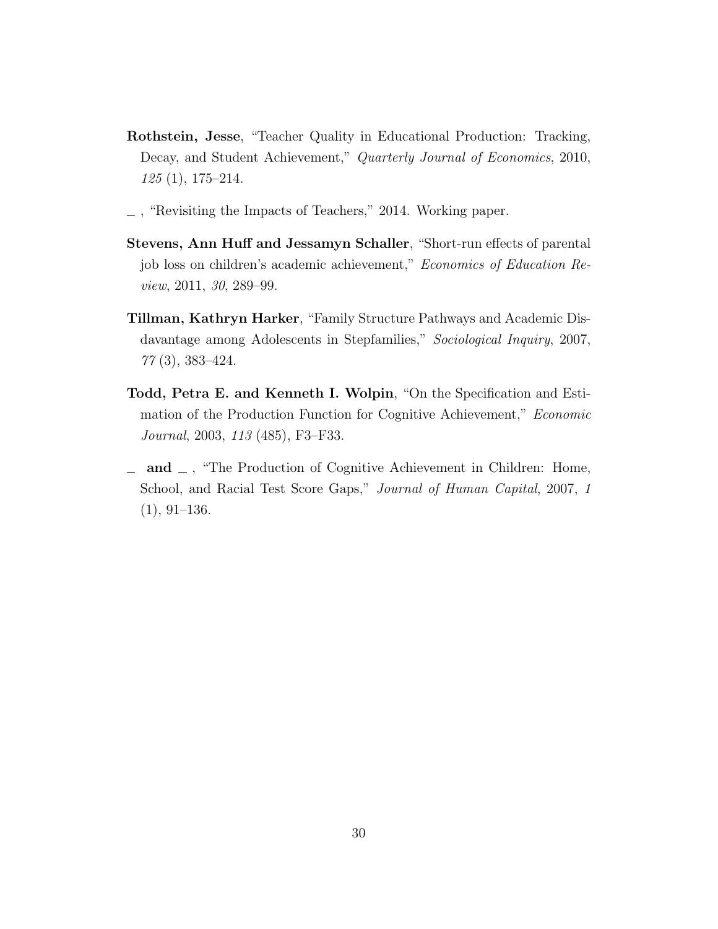- <span id="page-31-5"></span>Rothstein, Jesse, "Teacher Quality in Educational Production: Tracking, Decay, and Student Achievement," Quarterly Journal of Economics, 2010, 125 (1), 175–214.
- <span id="page-31-2"></span>, "Revisiting the Impacts of Teachers," 2014. Working paper.
- <span id="page-31-0"></span>Stevens, Ann Huff and Jessamyn Schaller, "Short-run effects of parental job loss on children's academic achievement," Economics of Education Review, 2011, 30, 289–99.
- <span id="page-31-1"></span>Tillman, Kathryn Harker, "Family Structure Pathways and Academic Disdavantage among Adolescents in Stepfamilies," Sociological Inquiry, 2007, 77 (3), 383–424.
- <span id="page-31-3"></span>Todd, Petra E. and Kenneth I. Wolpin, "On the Specification and Estimation of the Production Function for Cognitive Achievement," Economic Journal, 2003, 113 (485), F3–F33.
- <span id="page-31-4"></span> $\Box$  and  $\Box$ , "The Production of Cognitive Achievement in Children: Home, School, and Racial Test Score Gaps," Journal of Human Capital, 2007, 1  $(1), 91-136.$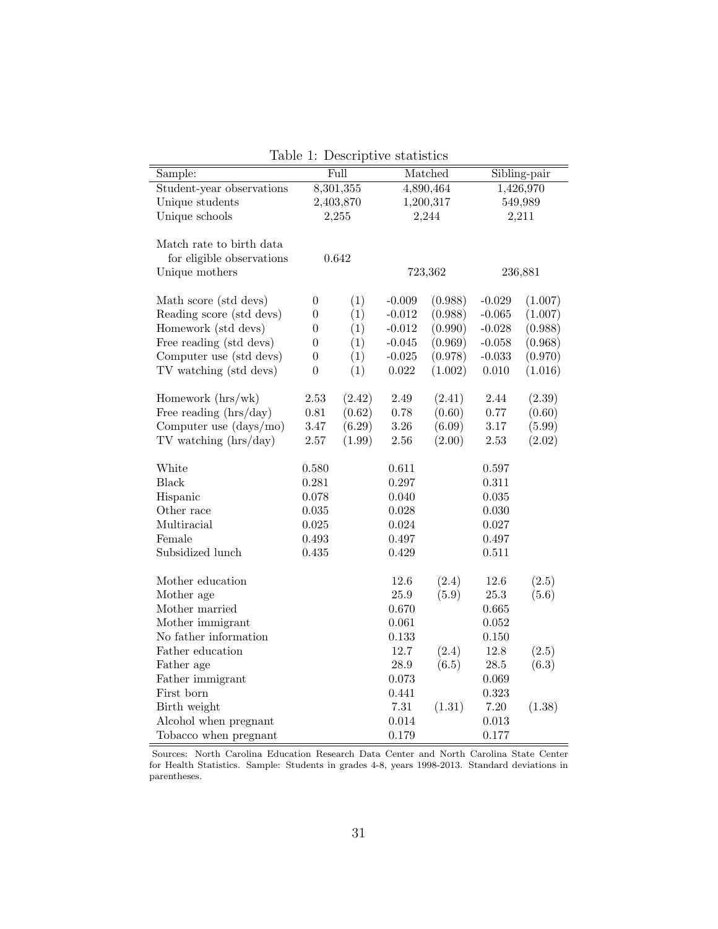<span id="page-32-0"></span>

| Sample:                   |                  | Full      | Matched     |         | Sibling-pair |         |
|---------------------------|------------------|-----------|-------------|---------|--------------|---------|
| Student-year observations |                  | 8,301,355 | 4,890,464   |         | 1,426,970    |         |
| Unique students           |                  | 2,403,870 | 1,200,317   |         | 549,989      |         |
| Unique schools            |                  | 2,255     |             | 2,244   |              | 2,211   |
|                           |                  |           |             |         |              |         |
| Match rate to birth data  |                  |           |             |         |              |         |
| for eligible observations |                  | 0.642     |             |         |              |         |
| Unique mothers            |                  |           |             | 723,362 |              | 236,881 |
|                           |                  |           |             |         |              |         |
| Math score (std devs)     | $\boldsymbol{0}$ | (1)       | $-0.009$    | (0.988) | $-0.029$     | (1.007) |
| Reading score (std devs)  | $\overline{0}$   | (1)       | $-0.012$    | (0.988) | $-0.065$     | (1.007) |
| Homework (std devs)       | $\overline{0}$   | (1)       | $-0.012$    | (0.990) | $-0.028$     | (0.988) |
| Free reading (std devs)   | $\overline{0}$   | (1)       | $-0.045$    | (0.969) | $-0.058$     | (0.968) |
| Computer use (std devs)   | $\boldsymbol{0}$ | (1)       | $-0.025$    | (0.978) | $-0.033$     | (0.970) |
| TV watching (std devs)    | $\overline{0}$   | (1)       | $\,0.022\,$ | (1.002) | 0.010        | (1.016) |
|                           |                  |           |             |         |              |         |
| Homework $(hrs/wk)$       | $2.53\,$         | (2.42)    | 2.49        | (2.41)  | $2.44\,$     | (2.39)  |
| Free reading (hrs/day)    | $0.81\,$         | (0.62)    | 0.78        | (0.60)  | 0.77         | (0.60)  |
| Computer use $(days/mo)$  | $3.47\,$         | (6.29)    | $3.26\,$    | (6.09)  | $3.17\,$     | (5.99)  |
| $TV$ watching $(hrs/day)$ | $2.57\,$         | (1.99)    | 2.56        | (2.00)  | 2.53         | (2.02)  |
|                           |                  |           |             |         |              |         |
| White                     | 0.580            |           | 0.611       |         | 0.597        |         |
| <b>Black</b>              | 0.281            |           | 0.297       |         | $0.311\,$    |         |
| Hispanic                  | 0.078            |           | 0.040       |         | $\,0.035\,$  |         |
| Other race                | $\,0.035\,$      |           | 0.028       |         | 0.030        |         |
| Multiracial               | $\,0.025\,$      |           | 0.024       |         | 0.027        |         |
| Female                    | 0.493            |           | 0.497       |         | 0.497        |         |
| Subsidized lunch          | 0.435            |           | 0.429       |         | 0.511        |         |
|                           |                  |           |             |         |              |         |
| Mother education          |                  |           | 12.6        | (2.4)   | 12.6         | (2.5)   |
| Mother age                |                  |           | $25.9\,$    | (5.9)   | $25.3\,$     | (5.6)   |
| Mother married            |                  |           | 0.670       |         | 0.665        |         |
| Mother immigrant          |                  |           | 0.061       |         | $\,0.052\,$  |         |
| No father information     |                  |           | 0.133       |         | 0.150        |         |
| Father education          |                  |           | 12.7        | (2.4)   | 12.8         | (2.5)   |
| Father age                |                  |           | $28.9\,$    | (6.5)   | $28.5\,$     | (6.3)   |
| Father immigrant          |                  |           | 0.073       |         | 0.069        |         |
| First born                |                  |           | 0.441       |         | 0.323        |         |
| Birth weight              |                  |           | $7.31\,$    | (1.31)  | 7.20         | (1.38)  |
| Alcohol when pregnant     |                  |           | 0.014       |         | $\,0.013\,$  |         |
| Tobacco when pregnant     |                  |           | 0.179       |         | 0.177        |         |

Table 1: Descriptive statistics

Sources: North Carolina Education Research Data Center and North Carolina State Center for Health Statistics. Sample: Students in grades 4-8, years 1998-2013. Standard deviations in parentheses.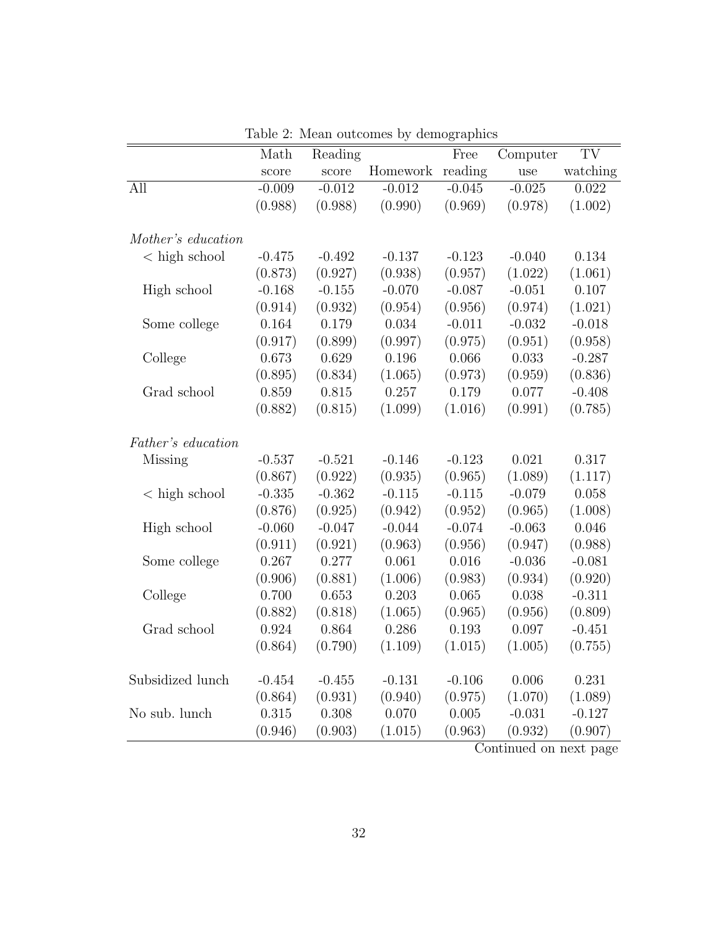<span id="page-33-0"></span>

|                       | Math     | Reading  |          | Free     | Computer | TV       |
|-----------------------|----------|----------|----------|----------|----------|----------|
|                       | score    | score    | Homework | reading  | use      | watching |
| All                   | $-0.009$ | $-0.012$ | $-0.012$ | $-0.045$ | $-0.025$ | 0.022    |
|                       | (0.988)  | (0.988)  | (0.990)  | (0.969)  | (0.978)  | (1.002)  |
|                       |          |          |          |          |          |          |
| Mother's education    |          |          |          |          |          |          |
| $\langle$ high school | $-0.475$ | $-0.492$ | $-0.137$ | $-0.123$ | $-0.040$ | 0.134    |
|                       | (0.873)  | (0.927)  | (0.938)  | (0.957)  | (1.022)  | (1.061)  |
| High school           | $-0.168$ | $-0.155$ | $-0.070$ | $-0.087$ | $-0.051$ | 0.107    |
|                       | (0.914)  | (0.932)  | (0.954)  | (0.956)  | (0.974)  | (1.021)  |
| Some college          | 0.164    | 0.179    | 0.034    | $-0.011$ | $-0.032$ | $-0.018$ |
|                       | (0.917)  | (0.899)  | (0.997)  | (0.975)  | (0.951)  | (0.958)  |
| College               | 0.673    | 0.629    | 0.196    | 0.066    | 0.033    | $-0.287$ |
|                       | (0.895)  | (0.834)  | (1.065)  | (0.973)  | (0.959)  | (0.836)  |
| Grad school           | 0.859    | 0.815    | 0.257    | 0.179    | 0.077    | $-0.408$ |
|                       | (0.882)  | (0.815)  | (1.099)  | (1.016)  | (0.991)  | (0.785)  |
|                       |          |          |          |          |          |          |
| Father's education    |          |          |          |          |          |          |
| Missing               | $-0.537$ | $-0.521$ | $-0.146$ | $-0.123$ | 0.021    | 0.317    |
|                       | (0.867)  | (0.922)  | (0.935)  | (0.965)  | (1.089)  | (1.117)  |
| $\langle$ high school | $-0.335$ | $-0.362$ | $-0.115$ | $-0.115$ | $-0.079$ | 0.058    |
|                       | (0.876)  | (0.925)  | (0.942)  | (0.952)  | (0.965)  | (1.008)  |
| High school           | $-0.060$ | $-0.047$ | $-0.044$ | $-0.074$ | $-0.063$ | 0.046    |
|                       | (0.911)  | (0.921)  | (0.963)  | (0.956)  | (0.947)  | (0.988)  |
| Some college          | 0.267    | 0.277    | 0.061    | 0.016    | $-0.036$ | $-0.081$ |
|                       | (0.906)  | (0.881)  | (1.006)  | (0.983)  | (0.934)  | (0.920)  |
| College               | 0.700    | 0.653    | 0.203    | 0.065    | 0.038    | $-0.311$ |
|                       | (0.882)  | (0.818)  | (1.065)  | (0.965)  | (0.956)  | (0.809)  |
| Grad school           | 0.924    | 0.864    | 0.286    | 0.193    | 0.097    | $-0.451$ |
|                       | (0.864)  | (0.790)  | (1.109)  | (1.015)  | (1.005)  | (0.755)  |
|                       |          |          |          |          |          |          |
| Subsidized lunch      | $-0.454$ | $-0.455$ | $-0.131$ | $-0.106$ | 0.006    | 0.231    |
|                       | (0.864)  | (0.931)  | (0.940)  | (0.975)  | (1.070)  | (1.089)  |
| No sub. lunch         | 0.315    | 0.308    | 0.070    | 0.005    | $-0.031$ | $-0.127$ |
|                       | (0.946)  | (0.903)  | (1.015)  | (0.963)  | (0.932)  | (0.907)  |

Table 2: Mean outcomes by demographics

Continued on next page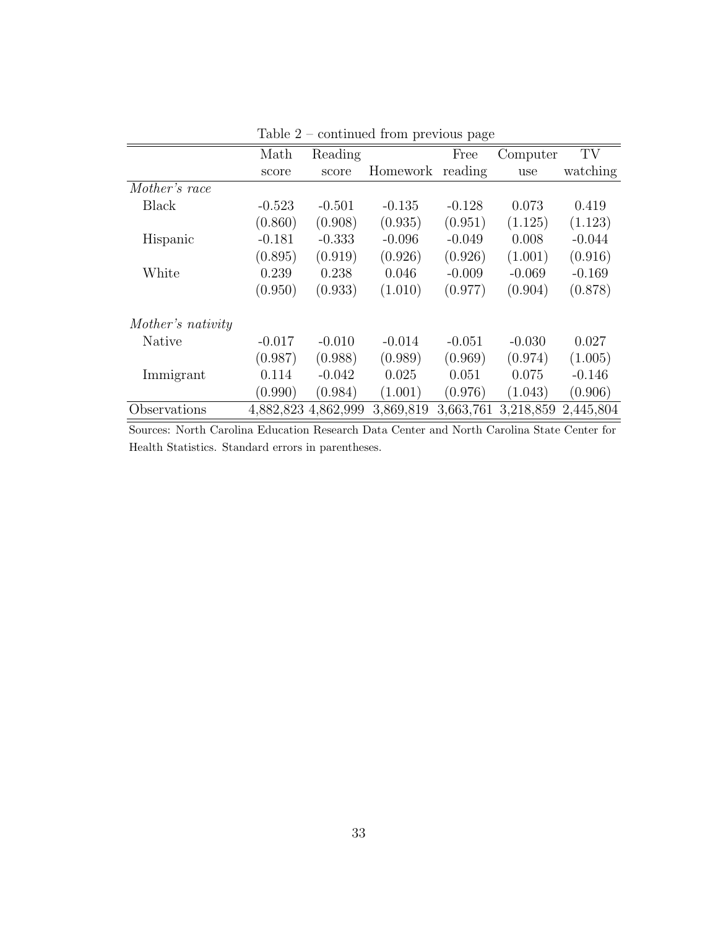|                   | Math                | Reading  |           | Free      | Computer  | TV        |
|-------------------|---------------------|----------|-----------|-----------|-----------|-----------|
|                   | score               | score    | Homework  | reading   | use       | watching  |
| Mother's race     |                     |          |           |           |           |           |
| <b>Black</b>      | $-0.523$            | $-0.501$ | $-0.135$  | $-0.128$  | 0.073     | 0.419     |
|                   | (0.860)             | (0.908)  | (0.935)   | (0.951)   | (1.125)   | (1.123)   |
| Hispanic          | $-0.181$            | $-0.333$ | $-0.096$  | $-0.049$  | 0.008     | $-0.044$  |
|                   | (0.895)             | (0.919)  | (0.926)   | (0.926)   | (1.001)   | (0.916)   |
| White             | 0.239               | 0.238    | 0.046     | $-0.009$  | $-0.069$  | $-0.169$  |
|                   | (0.950)             | (0.933)  | (1.010)   | (0.977)   | (0.904)   | (0.878)   |
| Mother's nativity |                     |          |           |           |           |           |
| Native            | $-0.017$            | $-0.010$ | $-0.014$  | $-0.051$  | $-0.030$  | 0.027     |
|                   | (0.987)             | (0.988)  | (0.989)   | (0.969)   | (0.974)   | (1.005)   |
| Immigrant         | 0.114               | $-0.042$ | 0.025     | 0.051     | 0.075     | $-0.146$  |
|                   | (0.990)             | (0.984)  | (1.001)   | (0.976)   | (1.043)   | (0.906)   |
| Observations      | 4,882,823 4,862,999 |          | 3,869,819 | 3,663,761 | 3,218,859 | 2,445,804 |

Table 2 – continued from previous page

Sources: North Carolina Education Research Data Center and North Carolina State Center for Health Statistics. Standard errors in parentheses.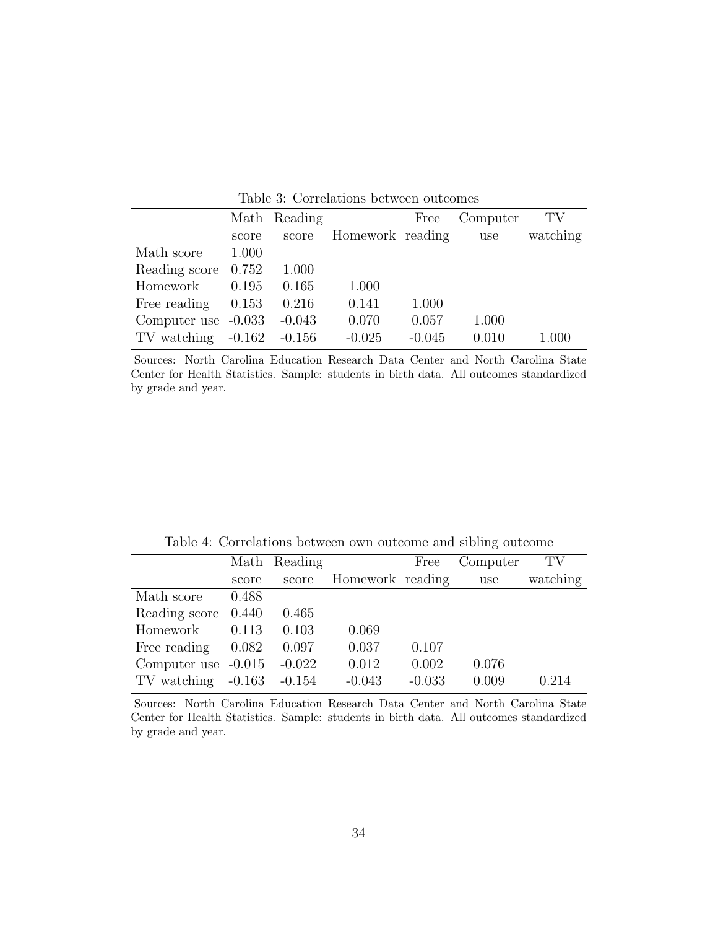<span id="page-35-0"></span>

|                        |       | Math Reading |                  | Free     | Computer | TV       |
|------------------------|-------|--------------|------------------|----------|----------|----------|
|                        | score | score        | Homework reading |          | use      | watching |
| Math score             | 1.000 |              |                  |          |          |          |
| Reading score          | 0.752 | 1.000        |                  |          |          |          |
| Homework               | 0.195 | 0.165        | 1.000            |          |          |          |
| Free reading           | 0.153 | 0.216        | 0.141            | 1.000    |          |          |
| Computer use $-0.033$  |       | $-0.043$     | 0.070            | 0.057    | 1.000    |          |
| $TV$ watching $-0.162$ |       | $-0.156$     | $-0.025$         | $-0.045$ | 0.010    | 1.000    |

Table 3: Correlations between outcomes

Sources: North Carolina Education Research Data Center and North Carolina State Center for Health Statistics. Sample: students in birth data. All outcomes standardized by grade and year.

Table 4: Correlations between own outcome and sibling outcome

<span id="page-35-1"></span>

|                        |       | Math Reading |                  | Free     | Computer | TV       |
|------------------------|-------|--------------|------------------|----------|----------|----------|
|                        | score | score        | Homework reading |          | use      | watching |
| Math score             | 0.488 |              |                  |          |          |          |
| Reading score 0.440    |       | 0.465        |                  |          |          |          |
| Homework               | 0.113 | 0.103        | 0.069            |          |          |          |
| Free reading           | 0.082 | 0.097        | 0.037            | 0.107    |          |          |
| Computer use $-0.015$  |       | $-0.022$     | 0.012            | 0.002    | 0.076    |          |
| $TV$ watching $-0.163$ |       | $-0.154$     | $-0.043$         | $-0.033$ | 0.009    | 0.214    |

Sources: North Carolina Education Research Data Center and North Carolina State Center for Health Statistics. Sample: students in birth data. All outcomes standardized by grade and year.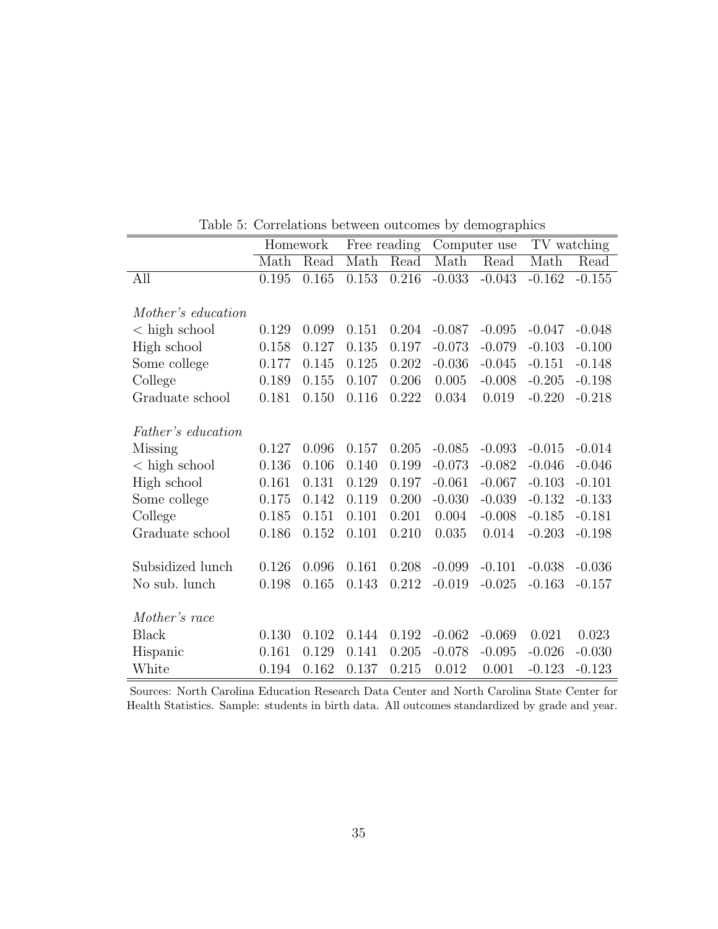<span id="page-36-0"></span>

|                       |       | Homework |           | Free reading |          | Computer use | TV watching |          |
|-----------------------|-------|----------|-----------|--------------|----------|--------------|-------------|----------|
|                       | Math  | Read     | Math      | Read         | Math     | Read         | Math        | Read     |
| All                   | 0.195 | 0.165    | 0.153     | 0.216        | $-0.033$ | $-0.043$     | $-0.162$    | $-0.155$ |
|                       |       |          |           |              |          |              |             |          |
| Mother's education    |       |          |           |              |          |              |             |          |
| $\langle$ high school | 0.129 | 0.099    | 0.151     | 0.204        | $-0.087$ | $-0.095$     | $-0.047$    | $-0.048$ |
| High school           | 0.158 | 0.127    | 0.135     | 0.197        | $-0.073$ | $-0.079$     | $-0.103$    | $-0.100$ |
| Some college          | 0.177 | 0.145    | 0.125     | 0.202        | $-0.036$ | $-0.045$     | $-0.151$    | $-0.148$ |
| College               | 0.189 | 0.155    | 0.107     | 0.206        | 0.005    | $-0.008$     | $-0.205$    | $-0.198$ |
| Graduate school       | 0.181 | 0.150    | $0.116\,$ | 0.222        | 0.034    | 0.019        | $-0.220$    | $-0.218$ |
|                       |       |          |           |              |          |              |             |          |
| Father's education    |       |          |           |              |          |              |             |          |
| <b>Missing</b>        | 0.127 | 0.096    | 0.157     | 0.205        | $-0.085$ | $-0.093$     | $-0.015$    | $-0.014$ |
| $\langle$ high school | 0.136 | 0.106    | 0.140     | 0.199        | $-0.073$ | $-0.082$     | $-0.046$    | $-0.046$ |
| High school           | 0.161 | 0.131    | 0.129     | 0.197        | $-0.061$ | $-0.067$     | $-0.103$    | $-0.101$ |
| Some college          | 0.175 | 0.142    | 0.119     | 0.200        | $-0.030$ | $-0.039$     | $-0.132$    | $-0.133$ |
| College               | 0.185 | 0.151    | 0.101     | 0.201        | 0.004    | $-0.008$     | $-0.185$    | $-0.181$ |
| Graduate school       | 0.186 | 0.152    | 0.101     | 0.210        | 0.035    | 0.014        | $-0.203$    | $-0.198$ |
|                       |       |          |           |              |          |              |             |          |
| Subsidized lunch      | 0.126 | 0.096    | 0.161     | 0.208        | $-0.099$ | $-0.101$     | $-0.038$    | $-0.036$ |
| No sub. lunch         | 0.198 | 0.165    | 0.143     | 0.212        | $-0.019$ | $-0.025$     | $-0.163$    | $-0.157$ |
|                       |       |          |           |              |          |              |             |          |
| Mother's race         |       |          |           |              |          |              |             |          |
| <b>Black</b>          | 0.130 | 0.102    | 0.144     | 0.192        | $-0.062$ | $-0.069$     | 0.021       | 0.023    |
| Hispanic              | 0.161 | 0.129    | 0.141     | 0.205        | $-0.078$ | $-0.095$     | $-0.026$    | $-0.030$ |
| White                 | 0.194 | 0.162    | 0.137     | 0.215        | 0.012    | 0.001        | $-0.123$    | $-0.123$ |

Table 5: Correlations between outcomes by demographics

Sources: North Carolina Education Research Data Center and North Carolina State Center for Health Statistics. Sample: students in birth data. All outcomes standardized by grade and year.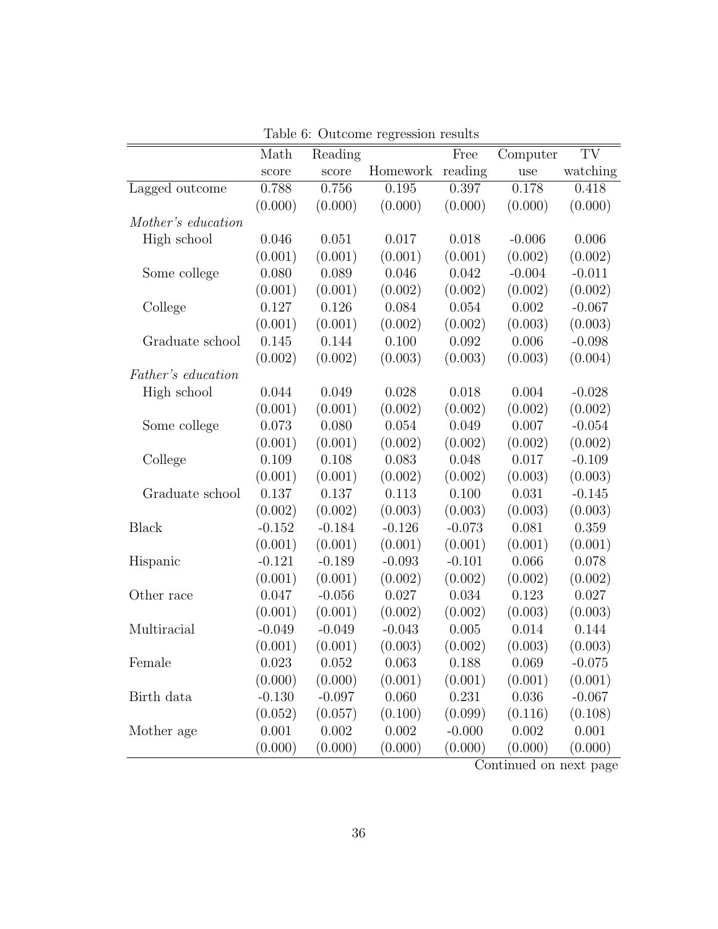<span id="page-37-0"></span>

|                    | Math     | Reading  |          | Free     | Computer | TV       |
|--------------------|----------|----------|----------|----------|----------|----------|
|                    | score    | score    | Homework | reading  | use      | watching |
| Lagged outcome     | 0.788    | 0.756    | 0.195    | 0.397    | 0.178    | 0.418    |
|                    | (0.000)  | (0.000)  | (0.000)  | (0.000)  | (0.000)  | (0.000)  |
| Mother's education |          |          |          |          |          |          |
| High school        | 0.046    | 0.051    | 0.017    | 0.018    | $-0.006$ | 0.006    |
|                    | (0.001)  | (0.001)  | (0.001)  | (0.001)  | (0.002)  | (0.002)  |
| Some college       | 0.080    | 0.089    | 0.046    | 0.042    | $-0.004$ | $-0.011$ |
|                    | (0.001)  | (0.001)  | (0.002)  | (0.002)  | (0.002)  | (0.002)  |
| College            | 0.127    | 0.126    | 0.084    | 0.054    | 0.002    | $-0.067$ |
|                    | (0.001)  | (0.001)  | (0.002)  | (0.002)  | (0.003)  | (0.003)  |
| Graduate school    | 0.145    | 0.144    | 0.100    | 0.092    | 0.006    | $-0.098$ |
|                    | (0.002)  | (0.002)  | (0.003)  | (0.003)  | (0.003)  | (0.004)  |
| Father's education |          |          |          |          |          |          |
| High school        | 0.044    | 0.049    | 0.028    | 0.018    | 0.004    | $-0.028$ |
|                    | (0.001)  | (0.001)  | (0.002)  | (0.002)  | (0.002)  | (0.002)  |
| Some college       | 0.073    | 0.080    | 0.054    | 0.049    | 0.007    | $-0.054$ |
|                    | (0.001)  | (0.001)  | (0.002)  | (0.002)  | (0.002)  | (0.002)  |
| College            | 0.109    | 0.108    | 0.083    | 0.048    | 0.017    | $-0.109$ |
|                    | (0.001)  | (0.001)  | (0.002)  | (0.002)  | (0.003)  | (0.003)  |
| Graduate school    | 0.137    | 0.137    | 0.113    | 0.100    | 0.031    | $-0.145$ |
|                    | (0.002)  | (0.002)  | (0.003)  | (0.003)  | (0.003)  | (0.003)  |
| <b>Black</b>       | $-0.152$ | $-0.184$ | $-0.126$ | $-0.073$ | 0.081    | 0.359    |
|                    | (0.001)  | (0.001)  | (0.001)  | (0.001)  | (0.001)  | (0.001)  |
| Hispanic           | $-0.121$ | $-0.189$ | $-0.093$ | $-0.101$ | 0.066    | 0.078    |
|                    | (0.001)  | (0.001)  | (0.002)  | (0.002)  | (0.002)  | (0.002)  |
| Other race         | 0.047    | $-0.056$ | 0.027    | 0.034    | 0.123    | 0.027    |
|                    | (0.001)  | (0.001)  | (0.002)  | (0.002)  | (0.003)  | (0.003)  |
| Multiracial        | $-0.049$ | $-0.049$ | $-0.043$ | 0.005    | 0.014    | 0.144    |
|                    | (0.001)  | (0.001)  | (0.003)  | (0.002)  | (0.003)  | (0.003)  |
| Female             | 0.023    | 0.052    | 0.063    | 0.188    | 0.069    | $-0.075$ |
|                    | (0.000)  | (0.000)  | (0.001)  | (0.001)  | (0.001)  | (0.001)  |
| Birth data         | $-0.130$ | $-0.097$ | 0.060    | 0.231    | 0.036    | $-0.067$ |
|                    | (0.052)  | (0.057)  | (0.100)  | (0.099)  | (0.116)  | (0.108)  |
| Mother age         | 0.001    | 0.002    | 0.002    | $-0.000$ | 0.002    | 0.001    |
|                    | (0.000)  | (0.000)  | (0.000)  | (0.000)  | (0.000)  | (0.000)  |

Table 6: Outcome regression results

Continued on next page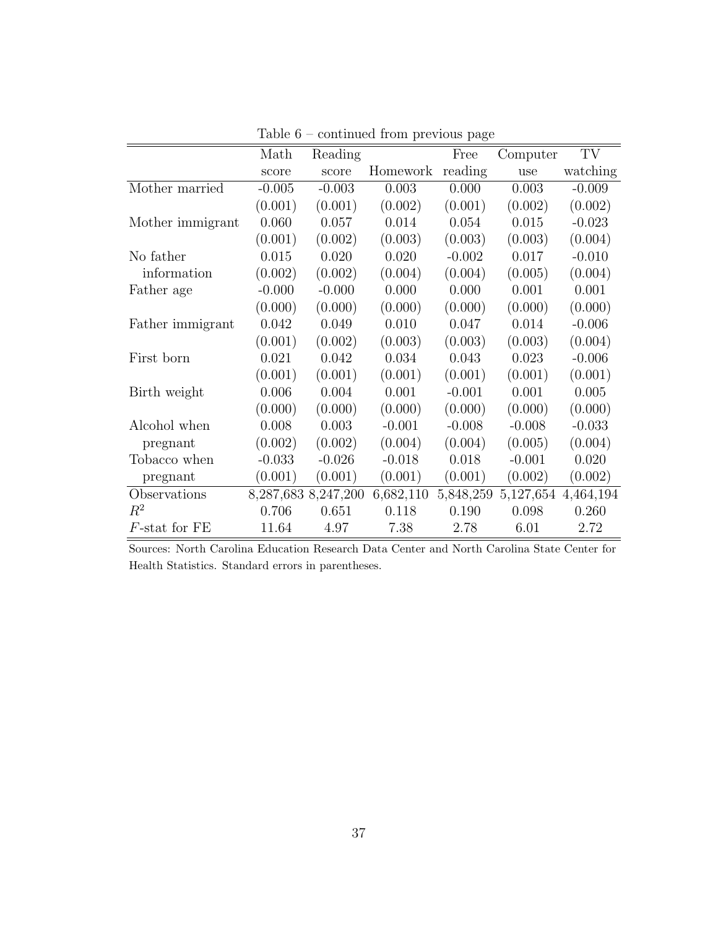|                  | Math     | Reading             |           | Free      | Computer  | TV        |
|------------------|----------|---------------------|-----------|-----------|-----------|-----------|
|                  | score    | score               | Homework  | reading   | use       | watching  |
| Mother married   | $-0.005$ | $-0.003$            | 0.003     | 0.000     | 0.003     | $-0.009$  |
|                  | (0.001)  | (0.001)             | (0.002)   | (0.001)   | (0.002)   | (0.002)   |
| Mother immigrant | 0.060    | 0.057               | 0.014     | 0.054     | 0.015     | $-0.023$  |
|                  | (0.001)  | (0.002)             | (0.003)   | (0.003)   | (0.003)   | (0.004)   |
| No father        | 0.015    | 0.020               | 0.020     | $-0.002$  | 0.017     | $-0.010$  |
| information      | (0.002)  | (0.002)             | (0.004)   | (0.004)   | (0.005)   | (0.004)   |
| Father age       | $-0.000$ | $-0.000$            | 0.000     | 0.000     | 0.001     | 0.001     |
|                  | (0.000)  | (0.000)             | (0.000)   | (0.000)   | (0.000)   | (0.000)   |
| Father immigrant | 0.042    | 0.049               | 0.010     | 0.047     | 0.014     | $-0.006$  |
|                  | (0.001)  | (0.002)             | (0.003)   | (0.003)   | (0.003)   | (0.004)   |
| First born       | 0.021    | 0.042               | 0.034     | 0.043     | 0.023     | $-0.006$  |
|                  | (0.001)  | (0.001)             | (0.001)   | (0.001)   | (0.001)   | (0.001)   |
| Birth weight     | 0.006    | 0.004               | 0.001     | $-0.001$  | 0.001     | 0.005     |
|                  | (0.000)  | (0.000)             | (0.000)   | (0.000)   | (0.000)   | (0.000)   |
| Alcohol when     | 0.008    | 0.003               | $-0.001$  | $-0.008$  | $-0.008$  | $-0.033$  |
| pregnant         | (0.002)  | (0.002)             | (0.004)   | (0.004)   | (0.005)   | (0.004)   |
| Tobacco when     | $-0.033$ | $-0.026$            | $-0.018$  | 0.018     | $-0.001$  | 0.020     |
| pregnant         | (0.001)  | (0.001)             | (0.001)   | (0.001)   | (0.002)   | (0.002)   |
| Observations     |          | 8,287,683 8,247,200 | 6,682,110 | 5,848,259 | 5,127,654 | 4,464,194 |
| $R^2$            | 0.706    | 0.651               | 0.118     | 0.190     | 0.098     | 0.260     |
| $F$ -stat for FE | 11.64    | 4.97                | 7.38      | 2.78      | 6.01      | 2.72      |

Table  $6$  – continued from previous page  $\,$ 

Sources: North Carolina Education Research Data Center and North Carolina State Center for Health Statistics. Standard errors in parentheses.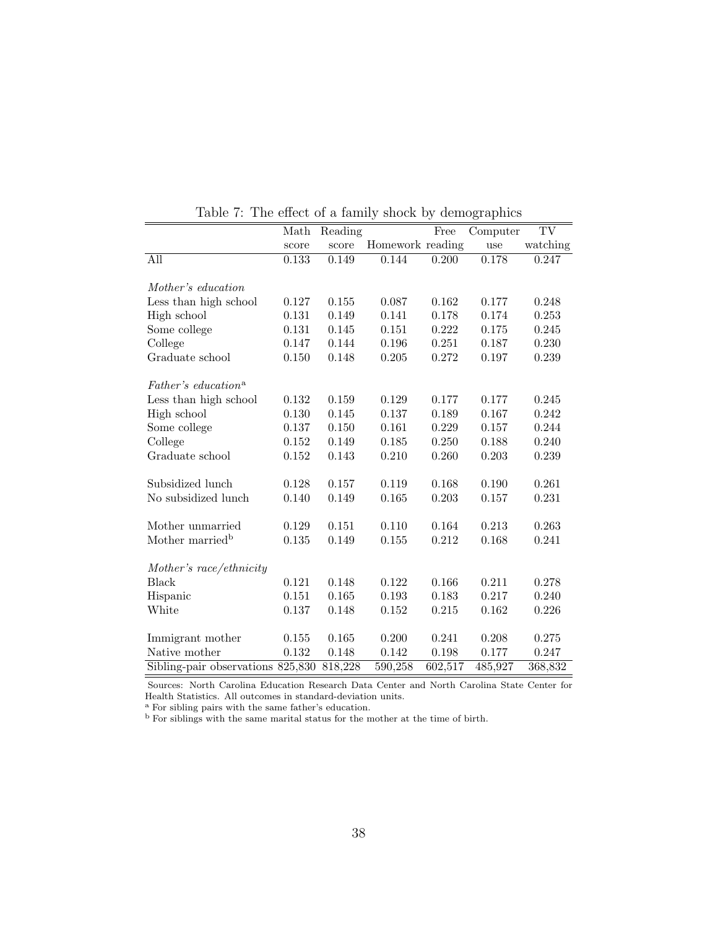<span id="page-39-0"></span>

|                                   |           |         |                  |         | $\circ$  |          |
|-----------------------------------|-----------|---------|------------------|---------|----------|----------|
|                                   | Math      | Reading |                  | Free    | Computer | TV       |
|                                   | score     | score   | Homework reading |         | use      | watching |
| All                               | 0.133     | 0.149   | 0.144            | 0.200   | 0.178    | 0.247    |
|                                   |           |         |                  |         |          |          |
| Mother's education                |           |         |                  |         |          |          |
| Less than high school             | 0.127     | 0.155   | 0.087            | 0.162   | 0.177    | 0.248    |
| High school                       | 0.131     | 0.149   | 0.141            | 0.178   | 0.174    | 0.253    |
| Some college                      | 0.131     | 0.145   | 0.151            | 0.222   | 0.175    | 0.245    |
| College                           | 0.147     | 0.144   | $0.196\,$        | 0.251   | 0.187    | 0.230    |
| Graduate school                   | 0.150     | 0.148   | $0.205\,$        | 0.272   | 0.197    | 0.239    |
|                                   |           |         |                  |         |          |          |
| Father's education <sup>a</sup>   |           |         |                  |         |          |          |
| Less than high school             | 0.132     | 0.159   | 0.129            | 0.177   | 0.177    | 0.245    |
| High school                       | 0.130     | 0.145   | 0.137            | 0.189   | 0.167    | 0.242    |
| Some college                      | 0.137     | 0.150   | 0.161            | 0.229   | 0.157    | 0.244    |
| College                           | 0.152     | 0.149   | 0.185            | 0.250   | 0.188    | 0.240    |
| Graduate school                   | $0.152\,$ | 0.143   | 0.210            | 0.260   | 0.203    | 0.239    |
| Subsidized lunch                  | 0.128     | 0.157   | 0.119            | 0.168   | 0.190    | 0.261    |
| No subsidized lunch               | 0.140     | 0.149   | 0.165            | 0.203   | 0.157    | 0.231    |
| Mother unmarried                  | 0.129     | 0.151   | 0.110            | 0.164   | 0.213    | 0.263    |
| Mother married <sup>b</sup>       | 0.135     | 0.149   | 0.155            | 0.212   | 0.168    | 0.241    |
|                                   |           |         |                  |         |          |          |
| Mother's race/ethnicity           |           |         |                  |         |          |          |
| <b>Black</b>                      | 0.121     | 0.148   | 0.122            | 0.166   | 0.211    | 0.278    |
| Hispanic                          | 0.151     | 0.165   | 0.193            | 0.183   | 0.217    | 0.240    |
| White                             | 0.137     | 0.148   | 0.152            | 0.215   | 0.162    | 0.226    |
|                                   |           |         |                  |         |          |          |
| Immigrant mother                  | 0.155     | 0.165   | 0.200            | 0.241   | 0.208    | 0.275    |
| Native mother                     | 0.132     | 0.148   | 0.142            | 0.198   | 0.177    | 0.247    |
| Sibling-pair observations 825,830 |           | 818,228 | 590,258          | 602,517 | 485,927  | 368,832  |

Table 7: The effect of a family shock by demographics

Sources: North Carolina Education Research Data Center and North Carolina State Center for Health Statistics. All outcomes in standard-deviation units.

<sup>a</sup> For sibling pairs with the same father's education.

<sup>b</sup> For siblings with the same marital status for the mother at the time of birth.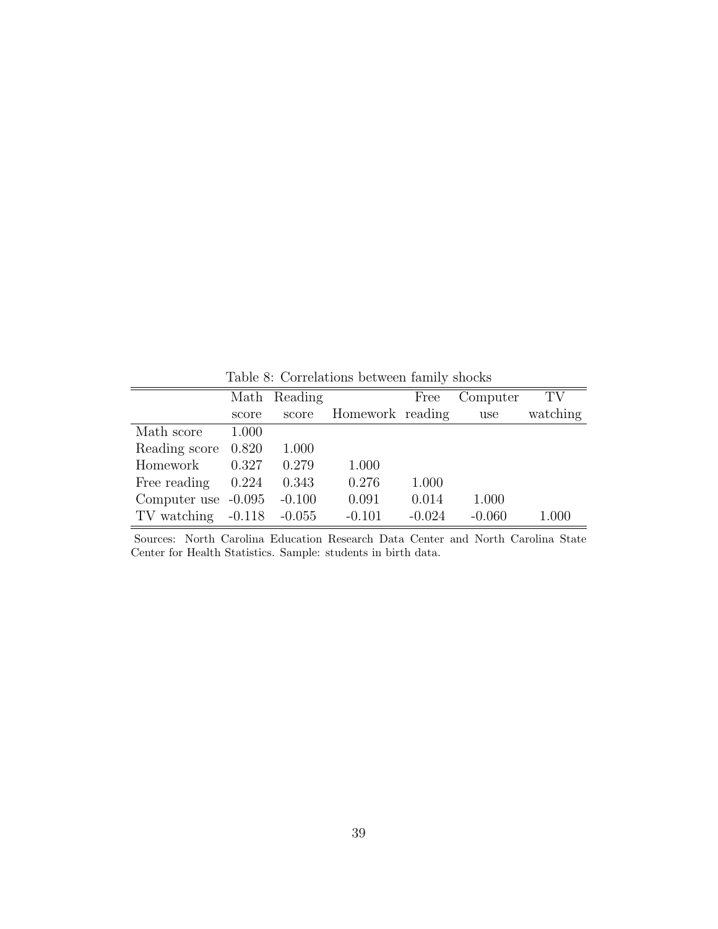<span id="page-40-0"></span>Math Reading Free Computer TV score score Homework reading use watching Math score 1.000 Reading score 0.820 1.000 Homework 0.327 0.279 1.000 Free reading 0.224 0.343 0.276 1.000 Computer use -0.095 -0.100 0.091 0.014 1.000 TV watching -0.118 -0.055 -0.101 -0.024 -0.060 1.000

Table 8: Correlations between family shocks

Sources: North Carolina Education Research Data Center and North Carolina State Center for Health Statistics. Sample: students in birth data.